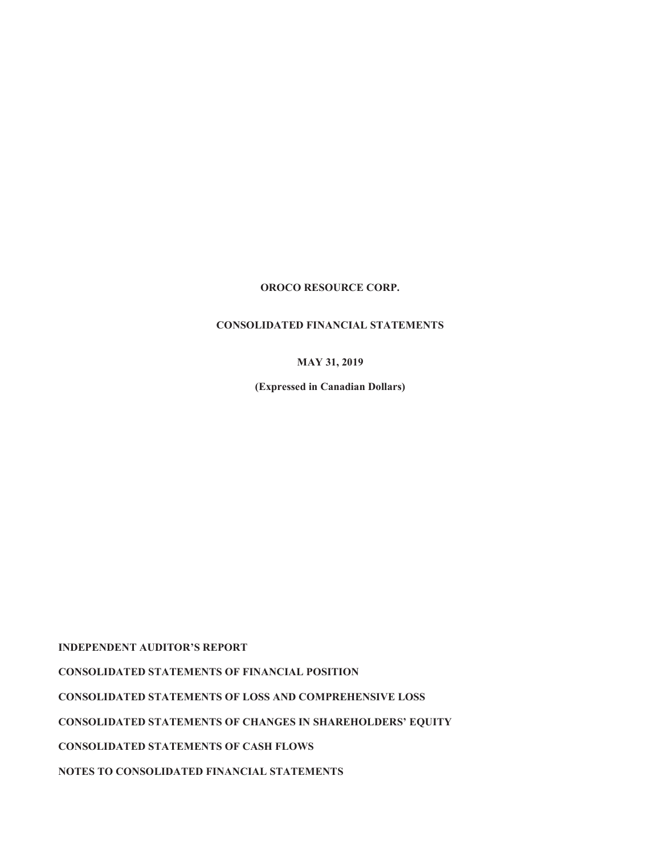# OROCO RESOURCE CORP.

# CONSOLIDATED FINANCIAL STATEMENTS

MAY 31, 2019

(Expressed in Canadian Dollars)

INDEPENDENT AUDITOR'S REPORT

CONSOLIDATED STATEMENTS OF FINANCIAL POSITION

CONSOLIDATED STATEMENTS OF LOSS AND COMPREHENSIVE LOSS

CONSOLIDATED STATEMENTS OF CHANGES IN SHAREHOLDERS' EQUITY

CONSOLIDATED STATEMENTS OF CASH FLOWS

NOTES TO CONSOLIDATED FINANCIAL STATEMENTS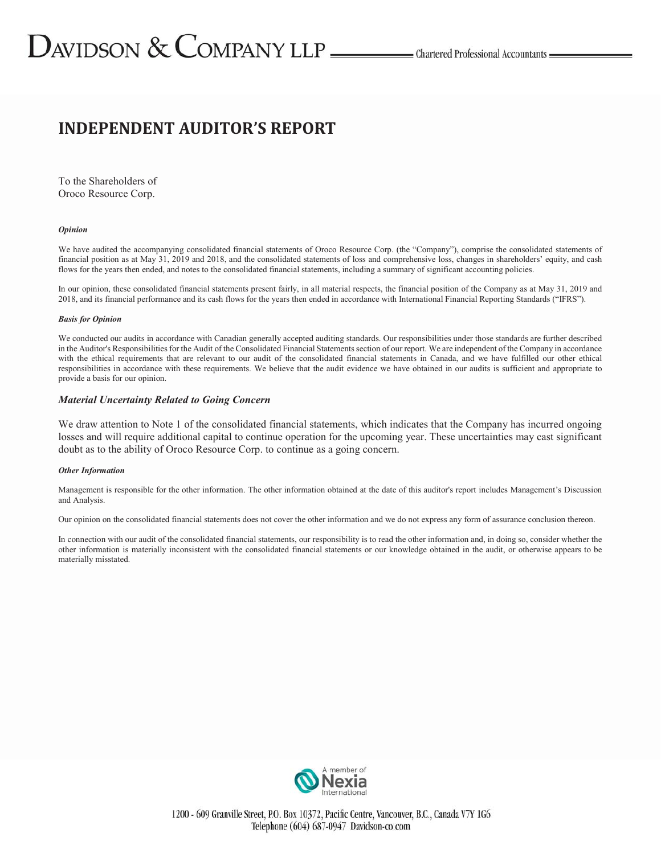# INDEPENDENT AUDITOR'S REPORT

To the Shareholders of Oroco Resource Corp.

#### *Opinion*

We have audited the accompanying consolidated financial statements of Oroco Resource Corp. (the "Company"), comprise the consolidated statements of financial position as at May 31, 2019 and 2018, and the consolidated statements of loss and comprehensive loss, changes in shareholders' equity, and cash flows for the years then ended, and notes to the consolidated financial statements, including a summary of significant accounting policies.

In our opinion, these consolidated financial statements present fairly, in all material respects, the financial position of the Company as at May 31, 2019 and 2018, and its financial performance and its cash flows for the years then ended in accordance with International Financial Reporting Standards ("IFRS").

#### *Basis for Opinion*

We conducted our audits in accordance with Canadian generally accepted auditing standards. Our responsibilities under those standards are further described in the Auditor's Responsibilities for the Audit of the Consolidated Financial Statements section of our report. We are independent of the Company in accordance with the ethical requirements that are relevant to our audit of the consolidated financial statements in Canada, and we have fulfilled our other ethical responsibilities in accordance with these requirements. We believe that the audit evidence we have obtained in our audits is sufficient and appropriate to provide a basis for our opinion.

#### *Material Uncertainty Related to Going Concern*

We draw attention to Note 1 of the consolidated financial statements, which indicates that the Company has incurred ongoing losses and will require additional capital to continue operation for the upcoming year. These uncertainties may cast significant doubt as to the ability of Oroco Resource Corp. to continue as a going concern.

#### *Other Information*

Management is responsible for the other information. The other information obtained at the date of this auditor's report includes Management's Discussion and Analysis.

Our opinion on the consolidated financial statements does not cover the other information and we do not express any form of assurance conclusion thereon.

In connection with our audit of the consolidated financial statements, our responsibility is to read the other information and, in doing so, consider whether the other information is materially inconsistent with the consolidated financial statements or our knowledge obtained in the audit, or otherwise appears to be materially misstated.

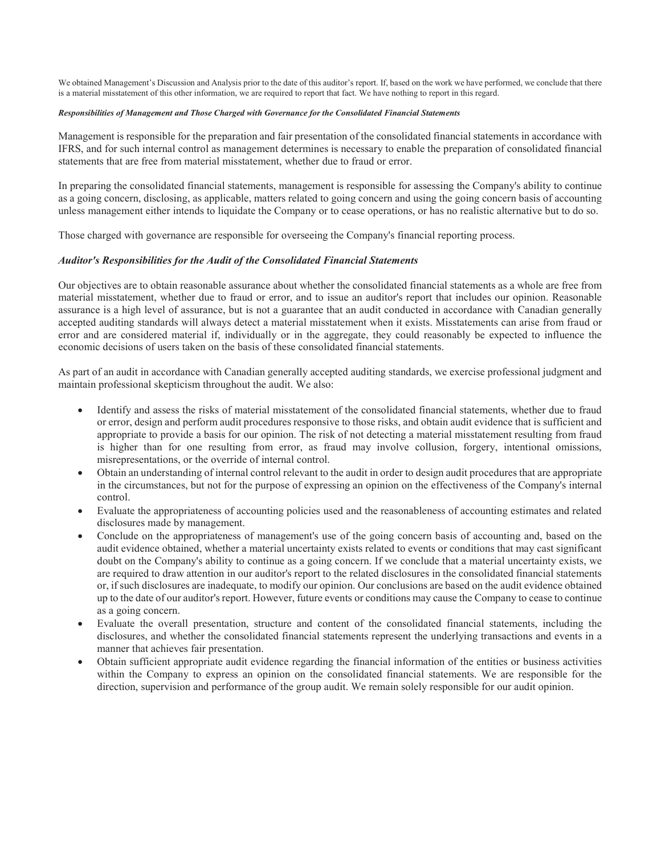We obtained Management's Discussion and Analysis prior to the date of this auditor's report. If, based on the work we have performed, we conclude that there is a material misstatement of this other information, we are required to report that fact. We have nothing to report in this regard.

#### *Responsibilities of Management and Those Charged with Governance for the Consolidated Financial Statements*

Management is responsible for the preparation and fair presentation of the consolidated financial statements in accordance with IFRS, and for such internal control as management determines is necessary to enable the preparation of consolidated financial statements that are free from material misstatement, whether due to fraud or error.

In preparing the consolidated financial statements, management is responsible for assessing the Company's ability to continue as a going concern, disclosing, as applicable, matters related to going concern and using the going concern basis of accounting unless management either intends to liquidate the Company or to cease operations, or has no realistic alternative but to do so.

Those charged with governance are responsible for overseeing the Company's financial reporting process.

### *Auditor's Responsibilities for the Audit of the Consolidated Financial Statements*

Our objectives are to obtain reasonable assurance about whether the consolidated financial statements as a whole are free from material misstatement, whether due to fraud or error, and to issue an auditor's report that includes our opinion. Reasonable assurance is a high level of assurance, but is not a guarantee that an audit conducted in accordance with Canadian generally accepted auditing standards will always detect a material misstatement when it exists. Misstatements can arise from fraud or error and are considered material if, individually or in the aggregate, they could reasonably be expected to influence the economic decisions of users taken on the basis of these consolidated financial statements.

As part of an audit in accordance with Canadian generally accepted auditing standards, we exercise professional judgment and maintain professional skepticism throughout the audit. We also:

- Identify and assess the risks of material misstatement of the consolidated financial statements, whether due to fraud or error, design and perform audit procedures responsive to those risks, and obtain audit evidence that is sufficient and appropriate to provide a basis for our opinion. The risk of not detecting a material misstatement resulting from fraud is higher than for one resulting from error, as fraud may involve collusion, forgery, intentional omissions, misrepresentations, or the override of internal control.
- Obtain an understanding of internal control relevant to the audit in order to design audit procedures that are appropriate in the circumstances, but not for the purpose of expressing an opinion on the effectiveness of the Company's internal control.
- x Evaluate the appropriateness of accounting policies used and the reasonableness of accounting estimates and related disclosures made by management.
- Conclude on the appropriateness of management's use of the going concern basis of accounting and, based on the audit evidence obtained, whether a material uncertainty exists related to events or conditions that may cast significant doubt on the Company's ability to continue as a going concern. If we conclude that a material uncertainty exists, we are required to draw attention in our auditor's report to the related disclosures in the consolidated financial statements or, if such disclosures are inadequate, to modify our opinion. Our conclusions are based on the audit evidence obtained up to the date of our auditor's report. However, future events or conditions may cause the Company to cease to continue as a going concern.
- Evaluate the overall presentation, structure and content of the consolidated financial statements, including the disclosures, and whether the consolidated financial statements represent the underlying transactions and events in a manner that achieves fair presentation.
- Obtain sufficient appropriate audit evidence regarding the financial information of the entities or business activities within the Company to express an opinion on the consolidated financial statements. We are responsible for the direction, supervision and performance of the group audit. We remain solely responsible for our audit opinion.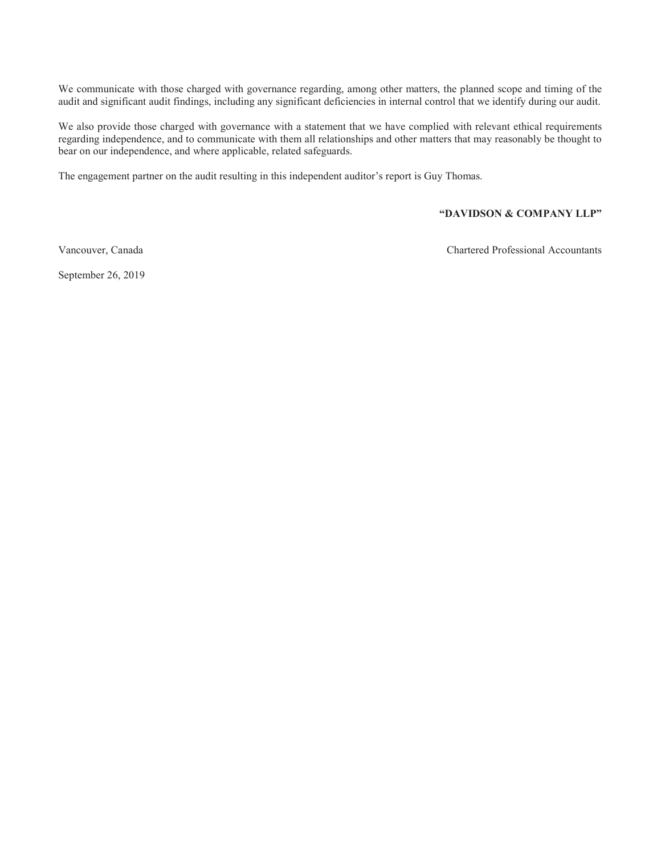We communicate with those charged with governance regarding, among other matters, the planned scope and timing of the audit and significant audit findings, including any significant deficiencies in internal control that we identify during our audit.

We also provide those charged with governance with a statement that we have complied with relevant ethical requirements regarding independence, and to communicate with them all relationships and other matters that may reasonably be thought to bear on our independence, and where applicable, related safeguards.

The engagement partner on the audit resulting in this independent auditor's report is Guy Thomas.

# "DAVIDSON & COMPANY LLP"

Vancouver, Canada Chartered Professional Accountants

September 26, 2019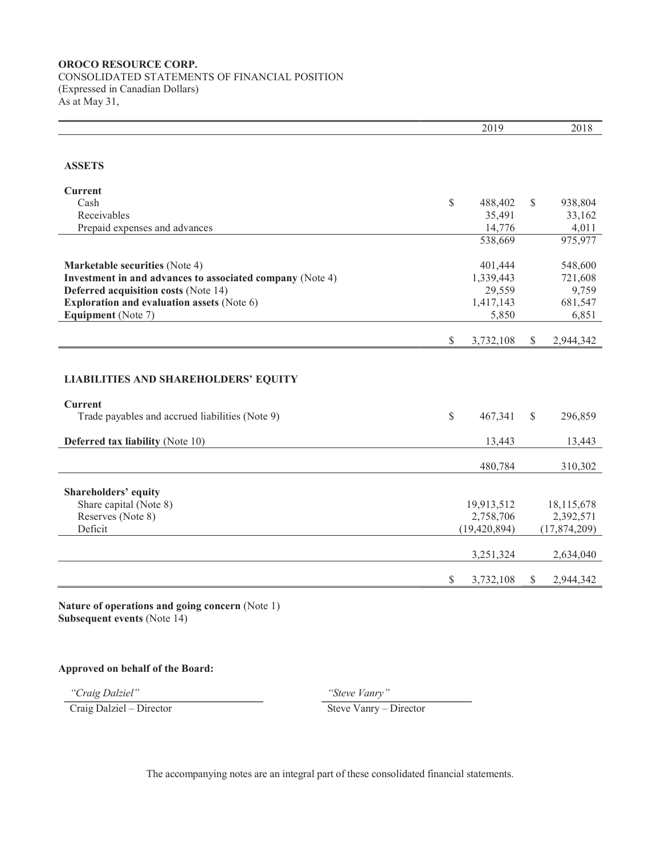# OROCO RESOURCE CORP.

CONSOLIDATED STATEMENTS OF FINANCIAL POSITION (Expressed in Canadian Dollars) As at May 31,

|                                                           |               | 2019           |               | 2018           |
|-----------------------------------------------------------|---------------|----------------|---------------|----------------|
|                                                           |               |                |               |                |
|                                                           |               |                |               |                |
| <b>ASSETS</b>                                             |               |                |               |                |
|                                                           |               |                |               |                |
| <b>Current</b><br>Cash                                    | \$            | 488,402        | $\mathcal{S}$ | 938,804        |
| Receivables                                               |               | 35,491         |               | 33,162         |
| Prepaid expenses and advances                             |               | 14,776         |               | 4,011          |
|                                                           |               | 538,669        |               | 975,977        |
|                                                           |               |                |               |                |
| <b>Marketable securities (Note 4)</b>                     |               | 401,444        |               | 548,600        |
| Investment in and advances to associated company (Note 4) |               | 1,339,443      |               | 721,608        |
| <b>Deferred acquisition costs (Note 14)</b>               |               | 29,559         |               | 9,759          |
| <b>Exploration and evaluation assets (Note 6)</b>         |               | 1,417,143      |               | 681,547        |
| Equipment (Note 7)                                        |               | 5,850          |               | 6,851          |
|                                                           |               |                |               |                |
|                                                           | $\mathcal{S}$ | 3,732,108      | \$            | 2,944,342      |
|                                                           |               |                |               |                |
|                                                           |               |                |               |                |
| <b>LIABILITIES AND SHAREHOLDERS' EQUITY</b>               |               |                |               |                |
|                                                           |               |                |               |                |
| <b>Current</b>                                            |               |                |               |                |
| Trade payables and accrued liabilities (Note 9)           | \$            | 467,341        | \$            | 296,859        |
|                                                           |               |                |               |                |
| <b>Deferred tax liability (Note 10)</b>                   |               | 13,443         |               | 13,443         |
|                                                           |               |                |               |                |
|                                                           |               | 480,784        |               | 310,302        |
|                                                           |               |                |               |                |
| Shareholders' equity                                      |               |                |               |                |
| Share capital (Note 8)                                    |               | 19,913,512     |               | 18,115,678     |
| Reserves (Note 8)                                         |               | 2,758,706      |               | 2,392,571      |
| Deficit                                                   |               | (19, 420, 894) |               | (17, 874, 209) |
|                                                           |               |                |               |                |
|                                                           |               | 3,251,324      |               | 2,634,040      |
|                                                           |               |                |               |                |
|                                                           | \$            | 3,732,108      | \$            | 2,944,342      |

Nature of operations and going concern (Note 1) Subsequent events (Note 14)

# Approved on behalf of the Board:

*"Craig Dalziel" "Steve Vanry"* 

Craig Dalziel – Director Steve Vanry – Director

The accompanying notes are an integral part of these consolidated financial statements.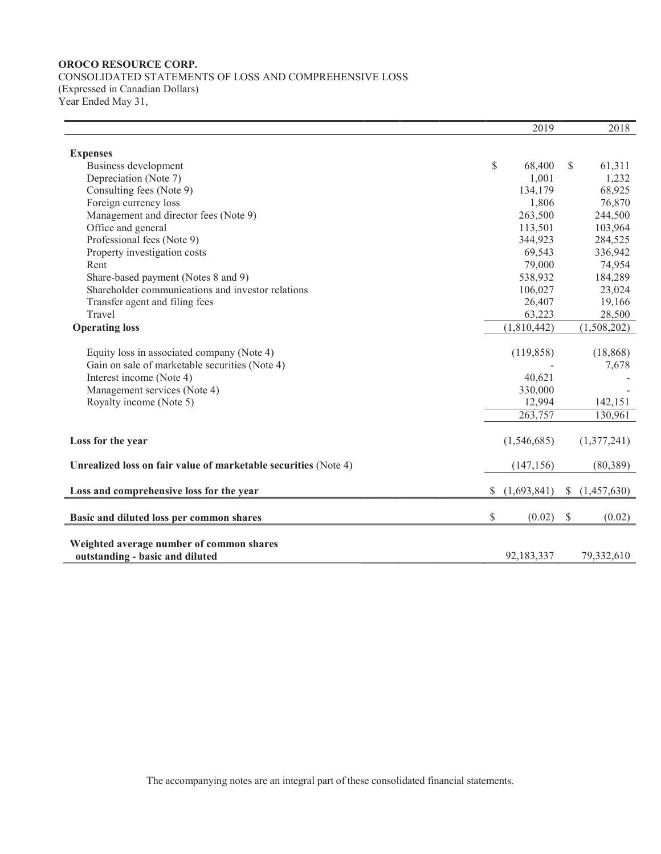# OROCO RESOURCE CORP.

CONSOLIDATED STATEMENTS OF LOSS AND COMPREHENSIVE LOSS (Expressed in Canadian Dollars) Year Ended May 31,

|                                                                 | 2019                        | 2018                    |
|-----------------------------------------------------------------|-----------------------------|-------------------------|
|                                                                 |                             |                         |
| <b>Expenses</b>                                                 |                             |                         |
| Business development                                            | $\$$<br>68,400              | \$<br>61,311            |
| Depreciation (Note 7)                                           | 1,001                       | 1,232                   |
| Consulting fees (Note 9)                                        | 134,179                     | 68,925                  |
| Foreign currency loss                                           | 1,806                       | 76,870                  |
| Management and director fees (Note 9)                           | 263,500                     | 244,500                 |
| Office and general                                              | 113,501                     | 103,964                 |
| Professional fees (Note 9)                                      | 344,923                     | 284,525                 |
| Property investigation costs                                    | 69,543                      | 336,942                 |
| Rent                                                            | 79,000                      | 74,954                  |
| Share-based payment (Notes 8 and 9)                             | 538,932                     | 184,289                 |
| Shareholder communications and investor relations               | 106,027                     | 23,024                  |
| Transfer agent and filing fees                                  | 26,407                      | 19,166                  |
| Travel                                                          | 63,223                      | 28,500                  |
| <b>Operating loss</b>                                           | (1,810,442)                 | (1,508,202)             |
|                                                                 |                             |                         |
| Equity loss in associated company (Note 4)                      | (119, 858)                  | (18, 868)               |
| Gain on sale of marketable securities (Note 4)                  |                             | 7,678                   |
| Interest income (Note 4)                                        | 40,621                      |                         |
| Management services (Note 4)                                    | 330,000                     |                         |
| Royalty income (Note 5)                                         | 12,994                      | 142,151                 |
|                                                                 | 263,757                     | 130,961                 |
|                                                                 |                             |                         |
| Loss for the year                                               | (1,546,685)                 | (1,377,241)             |
|                                                                 |                             |                         |
| Unrealized loss on fair value of marketable securities (Note 4) | (147, 156)                  | (80, 389)               |
|                                                                 |                             |                         |
| Loss and comprehensive loss for the year                        | (1,693,841)<br><sup>S</sup> | (1,457,630)<br>\$       |
| Basic and diluted loss per common shares                        | \$<br>(0.02)                | $\mathcal{S}$<br>(0.02) |
|                                                                 |                             |                         |
|                                                                 |                             |                         |
| Weighted average number of common shares                        |                             |                         |
| outstanding - basic and diluted                                 | 92,183,337                  | 79,332,610              |

The accompanying notes are an integral part of these consolidated financial statements.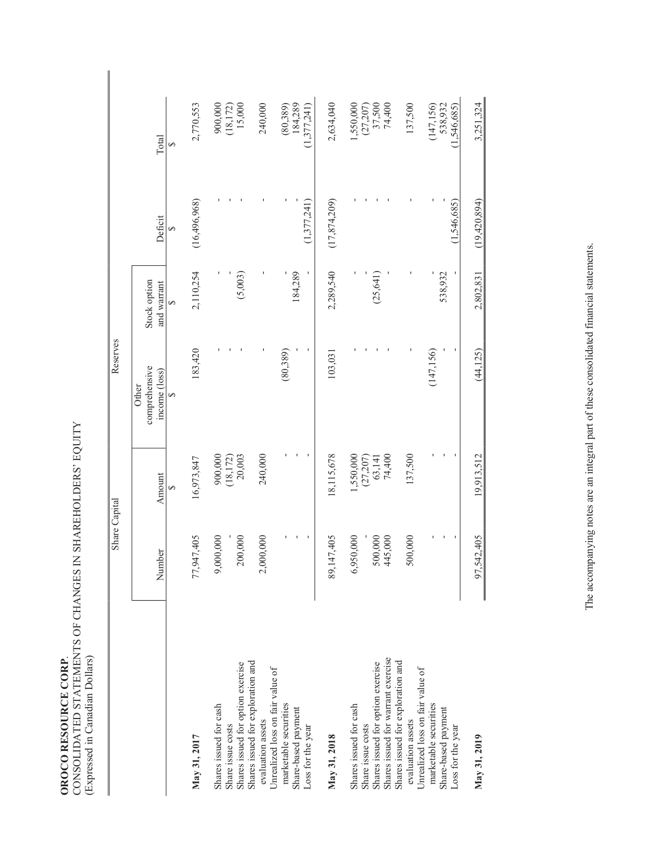**OROCO RESOURCE CORP.**<br>CONSOLIDATED STATEMENTS OF CHANGES IN SHAREHOLDERS' EQUITY<br>(Expressed in Canadian Dollars) CONSOLIDATED STATEMENTS OF CHANGES IN SHAREHOLDERS' EQUITY OROCO RESOURCE CORP.

(Expressed in Canadian Dollars)

|                                                                                                       | Share Capital        |                                | Reserves                                |                             |                |                                      |
|-------------------------------------------------------------------------------------------------------|----------------------|--------------------------------|-----------------------------------------|-----------------------------|----------------|--------------------------------------|
|                                                                                                       | Number               | Amount                         | comprehensive<br>income (loss)<br>Other | Stock option<br>and warrant | Deficit        | Total                                |
|                                                                                                       |                      | D                              | S                                       | S                           | S              | S                                    |
| May 31, 2017                                                                                          | 77,947,405           | 16,973,847                     | 183,420                                 | 2,110,254                   | (16,496,968)   | 2,770,553                            |
| Shares issued for option exercise<br>Shares issued for cash<br>Share issue costs                      | 200,000<br>9,000,000 | 900,000<br>20,003<br>(18, 172) |                                         | (5,003)                     |                | 900,000<br>15,000<br>(18, 172)       |
| Shares issued for exploration and<br>evaluation assets                                                | 2,000,000            | 240,000                        |                                         |                             |                | 240,000                              |
| Unrealized loss on fair value of<br>marketable securities<br>Share-based payment<br>Loss for the year |                      |                                | (80, 389)                               | 184,289                     | (1,377,241)    | 184,289<br>(80, 389)<br>(1,377,241)  |
| May 31, 2018                                                                                          | 89,147,405           | 18,115,678                     | 103,031                                 | 2,289,540                   | (17,874,209)   | 2,634,040                            |
| Shares issued for cash<br>Share issue costs                                                           | 500,000<br>6,950,000 | 1,550,000<br>(27, 207)         |                                         |                             |                | 1,550,000<br>(27, 207)               |
| Shares issued for warrant exercise<br>Shares issued for option exercise                               | 445,000              | 74,400<br>63,141               |                                         | (25, 641)                   |                | 74,400<br>37,500                     |
| Shares issued for exploration and<br>Unrealized loss on fair value of<br>evaluation assets            | 500,000              | 137,500                        |                                         |                             |                | 137,500                              |
| marketable securities<br>Share-based payment<br>Loss for the year                                     |                      |                                | (147, 156)                              | 538,932                     | (1,546,685)    | (147, 156)<br>538,932<br>(1,546,685) |
| May 31, 2019                                                                                          | 97,542,405           | 19,913,512                     | (44, 125)                               | 2,802,831                   | (19, 420, 894) | 3,251,324                            |

The accompanying notes are an integral part of these consolidated financial statements. The accompanying notes are an integral part of these consolidated financial statements.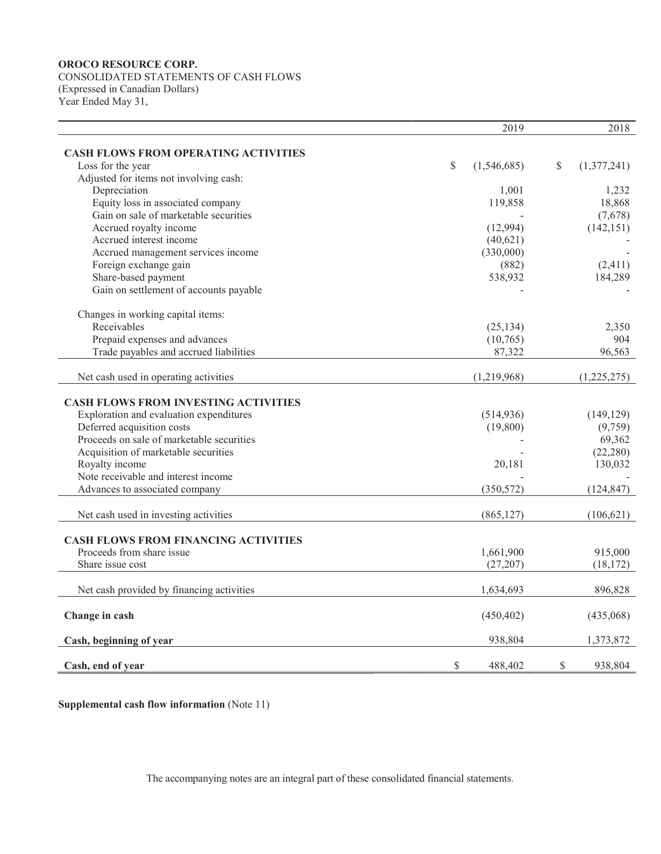# OROCO RESOURCE CORP.

CONSOLIDATED STATEMENTS OF CASH FLOWS (Expressed in Canadian Dollars) Year Ended May 31,

|                                             |              | 2019        | 2018              |
|---------------------------------------------|--------------|-------------|-------------------|
|                                             |              |             |                   |
| <b>CASH FLOWS FROM OPERATING ACTIVITIES</b> |              |             |                   |
| Loss for the year                           | \$           | (1,546,685) | \$<br>(1,377,241) |
| Adjusted for items not involving cash:      |              |             |                   |
| Depreciation                                |              | 1,001       | 1,232             |
| Equity loss in associated company           |              | 119,858     | 18,868            |
| Gain on sale of marketable securities       |              |             | (7,678)           |
| Accrued royalty income                      |              | (12,994)    | (142, 151)        |
| Accrued interest income                     |              | (40,621)    |                   |
| Accrued management services income          |              | (330,000)   |                   |
| Foreign exchange gain                       |              | (882)       | (2,411)           |
| Share-based payment                         |              | 538,932     | 184,289           |
| Gain on settlement of accounts payable      |              |             |                   |
| Changes in working capital items:           |              |             |                   |
| Receivables                                 |              | (25, 134)   | 2,350             |
| Prepaid expenses and advances               |              | (10,765)    | 904               |
| Trade payables and accrued liabilities      |              | 87,322      | 96,563            |
|                                             |              |             |                   |
| Net cash used in operating activities       |              | (1,219,968) | (1,225,275)       |
| <b>CASH FLOWS FROM INVESTING ACTIVITIES</b> |              |             |                   |
|                                             |              |             |                   |
| Exploration and evaluation expenditures     |              | (514, 936)  | (149, 129)        |
| Deferred acquisition costs                  |              | (19, 800)   | (9,759)           |
| Proceeds on sale of marketable securities   |              |             | 69,362            |
| Acquisition of marketable securities        |              |             | (22, 280)         |
| Royalty income                              |              | 20,181      | 130,032           |
| Note receivable and interest income         |              |             |                   |
| Advances to associated company              |              | (350, 572)  | (124, 847)        |
| Net cash used in investing activities       |              | (865, 127)  | (106, 621)        |
|                                             |              |             |                   |
| <b>CASH FLOWS FROM FINANCING ACTIVITIES</b> |              |             |                   |
| Proceeds from share issue                   |              | 1,661,900   | 915,000           |
| Share issue cost                            |              | (27,207)    | (18, 172)         |
| Net cash provided by financing activities   |              | 1,634,693   | 896,828           |
|                                             |              |             |                   |
| Change in cash                              |              | (450, 402)  | (435,068)         |
| Cash, beginning of year                     |              | 938,804     | 1,373,872         |
| Cash, end of year                           | $\mathbb{S}$ | 488,402     | \$<br>938,804     |
|                                             |              |             |                   |

Supplemental cash flow information (Note 11)

The accompanying notes are an integral part of these consolidated financial statements.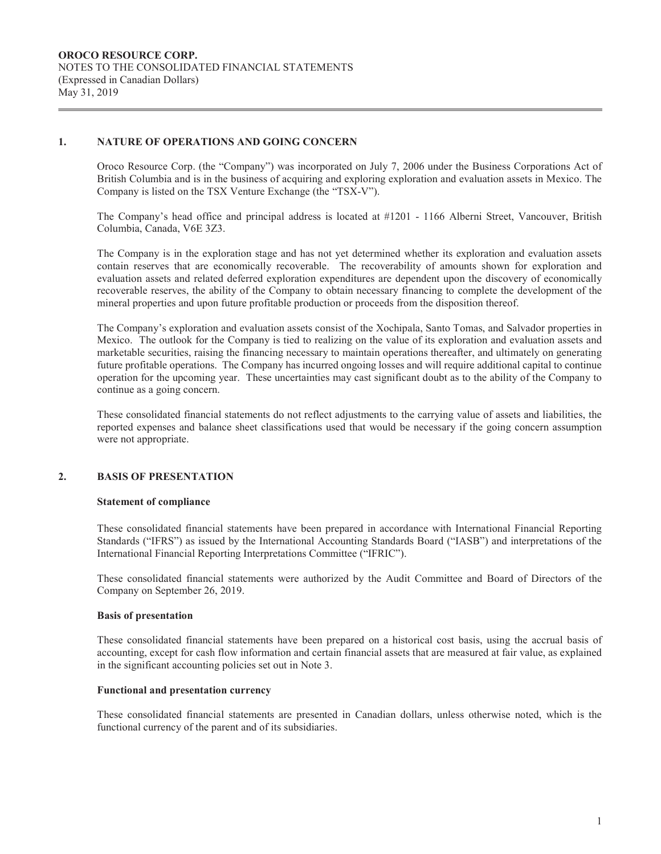$\overline{a}$ 

# 1. NATURE OF OPERATIONS AND GOING CONCERN

Oroco Resource Corp. (the "Company") was incorporated on July 7, 2006 under the Business Corporations Act of British Columbia and is in the business of acquiring and exploring exploration and evaluation assets in Mexico. The Company is listed on the TSX Venture Exchange (the "TSX-V").

The Company's head office and principal address is located at #1201 - 1166 Alberni Street, Vancouver, British Columbia, Canada, V6E 3Z3.

The Company is in the exploration stage and has not yet determined whether its exploration and evaluation assets contain reserves that are economically recoverable. The recoverability of amounts shown for exploration and evaluation assets and related deferred exploration expenditures are dependent upon the discovery of economically recoverable reserves, the ability of the Company to obtain necessary financing to complete the development of the mineral properties and upon future profitable production or proceeds from the disposition thereof.

The Company's exploration and evaluation assets consist of the Xochipala, Santo Tomas, and Salvador properties in Mexico. The outlook for the Company is tied to realizing on the value of its exploration and evaluation assets and marketable securities, raising the financing necessary to maintain operations thereafter, and ultimately on generating future profitable operations. The Company has incurred ongoing losses and will require additional capital to continue operation for the upcoming year. These uncertainties may cast significant doubt as to the ability of the Company to continue as a going concern.

These consolidated financial statements do not reflect adjustments to the carrying value of assets and liabilities, the reported expenses and balance sheet classifications used that would be necessary if the going concern assumption were not appropriate.

# 2. BASIS OF PRESENTATION

#### Statement of compliance

These consolidated financial statements have been prepared in accordance with International Financial Reporting Standards ("IFRS") as issued by the International Accounting Standards Board ("IASB") and interpretations of the International Financial Reporting Interpretations Committee ("IFRIC").

These consolidated financial statements were authorized by the Audit Committee and Board of Directors of the Company on September 26, 2019.

### Basis of presentation

These consolidated financial statements have been prepared on a historical cost basis, using the accrual basis of accounting, except for cash flow information and certain financial assets that are measured at fair value, as explained in the significant accounting policies set out in Note 3.

#### Functional and presentation currency

These consolidated financial statements are presented in Canadian dollars, unless otherwise noted, which is the functional currency of the parent and of its subsidiaries.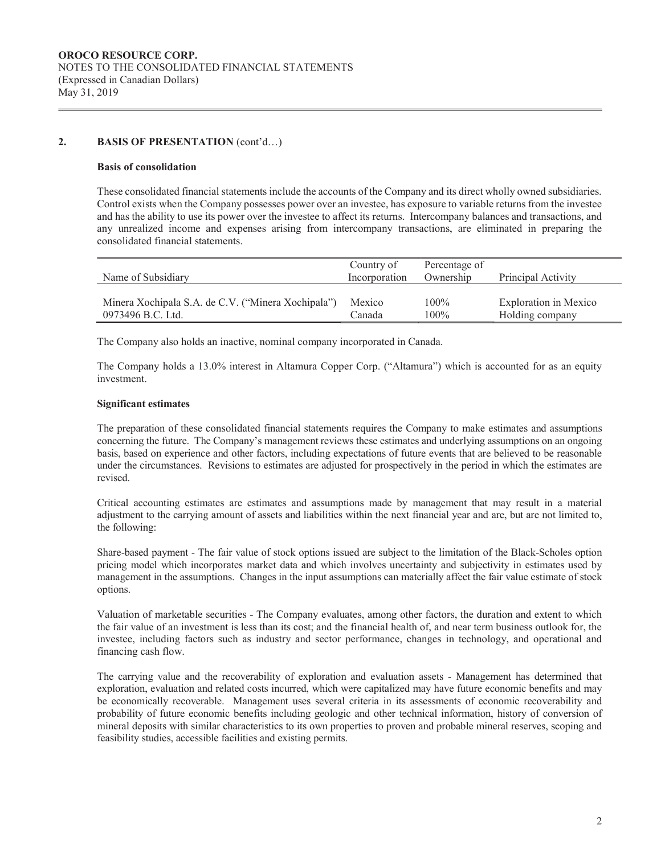# 2. BASIS OF PRESENTATION (cont'd...)

#### Basis of consolidation

 $\overline{a}$ 

These consolidated financial statements include the accounts of the Company and its direct wholly owned subsidiaries. Control exists when the Company possesses power over an investee, has exposure to variable returns from the investee and has the ability to use its power over the investee to affect its returns. Intercompany balances and transactions, and any unrealized income and expenses arising from intercompany transactions, are eliminated in preparing the consolidated financial statements.

| Name of Subsidiary                                 | Country of<br>Incorporation | Percentage of<br>Ownership | Principal Activity           |
|----------------------------------------------------|-----------------------------|----------------------------|------------------------------|
| Minera Xochipala S.A. de C.V. ("Minera Xochipala") | Mexico                      | 100%                       | <b>Exploration</b> in Mexico |
| 0973496 B.C. Ltd.                                  | Canada                      | $100\%$                    | Holding company              |

The Company also holds an inactive, nominal company incorporated in Canada.

The Company holds a 13.0% interest in Altamura Copper Corp. ("Altamura") which is accounted for as an equity investment.

#### Significant estimates

The preparation of these consolidated financial statements requires the Company to make estimates and assumptions concerning the future. The Company's management reviews these estimates and underlying assumptions on an ongoing basis, based on experience and other factors, including expectations of future events that are believed to be reasonable under the circumstances. Revisions to estimates are adjusted for prospectively in the period in which the estimates are revised.

Critical accounting estimates are estimates and assumptions made by management that may result in a material adjustment to the carrying amount of assets and liabilities within the next financial year and are, but are not limited to, the following:

Share-based payment - The fair value of stock options issued are subject to the limitation of the Black-Scholes option pricing model which incorporates market data and which involves uncertainty and subjectivity in estimates used by management in the assumptions. Changes in the input assumptions can materially affect the fair value estimate of stock options.

Valuation of marketable securities - The Company evaluates, among other factors, the duration and extent to which the fair value of an investment is less than its cost; and the financial health of, and near term business outlook for, the investee, including factors such as industry and sector performance, changes in technology, and operational and financing cash flow.

The carrying value and the recoverability of exploration and evaluation assets - Management has determined that exploration, evaluation and related costs incurred, which were capitalized may have future economic benefits and may be economically recoverable. Management uses several criteria in its assessments of economic recoverability and probability of future economic benefits including geologic and other technical information, history of conversion of mineral deposits with similar characteristics to its own properties to proven and probable mineral reserves, scoping and feasibility studies, accessible facilities and existing permits.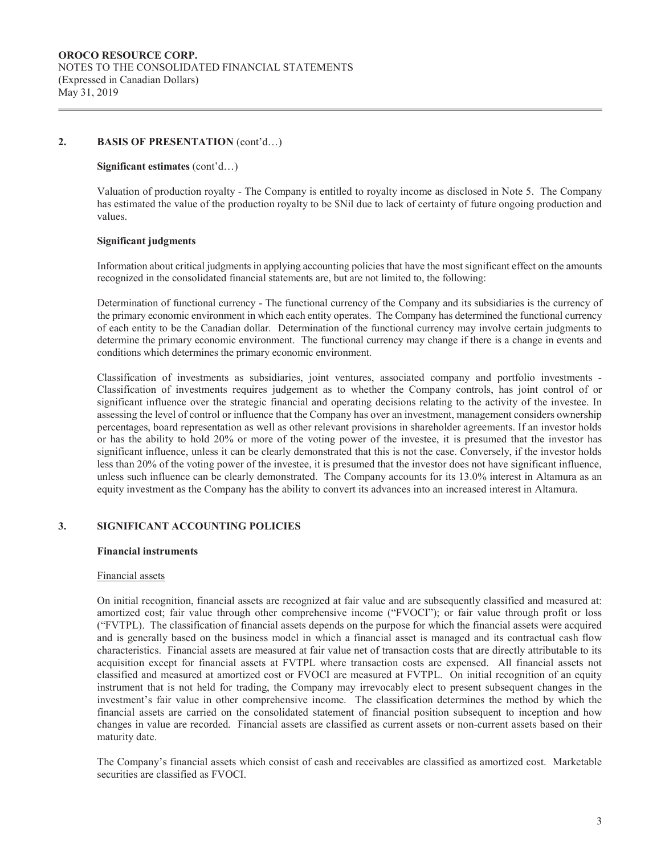# 2. BASIS OF PRESENTATION (cont'd...)

#### Significant estimates (cont'd…)

Valuation of production royalty - The Company is entitled to royalty income as disclosed in Note 5. The Company has estimated the value of the production royalty to be \$Nil due to lack of certainty of future ongoing production and values.

### Significant judgments

 $\overline{a}$ 

Information about critical judgments in applying accounting policies that have the most significant effect on the amounts recognized in the consolidated financial statements are, but are not limited to, the following:

Determination of functional currency - The functional currency of the Company and its subsidiaries is the currency of the primary economic environment in which each entity operates. The Company has determined the functional currency of each entity to be the Canadian dollar. Determination of the functional currency may involve certain judgments to determine the primary economic environment. The functional currency may change if there is a change in events and conditions which determines the primary economic environment.

Classification of investments as subsidiaries, joint ventures, associated company and portfolio investments - Classification of investments requires judgement as to whether the Company controls, has joint control of or significant influence over the strategic financial and operating decisions relating to the activity of the investee. In assessing the level of control or influence that the Company has over an investment, management considers ownership percentages, board representation as well as other relevant provisions in shareholder agreements. If an investor holds or has the ability to hold 20% or more of the voting power of the investee, it is presumed that the investor has significant influence, unless it can be clearly demonstrated that this is not the case. Conversely, if the investor holds less than 20% of the voting power of the investee, it is presumed that the investor does not have significant influence, unless such influence can be clearly demonstrated. The Company accounts for its 13.0% interest in Altamura as an equity investment as the Company has the ability to convert its advances into an increased interest in Altamura.

# 3. SIGNIFICANT ACCOUNTING POLICIES

#### Financial instruments

#### Financial assets

On initial recognition, financial assets are recognized at fair value and are subsequently classified and measured at: amortized cost; fair value through other comprehensive income ("FVOCI"); or fair value through profit or loss ("FVTPL). The classification of financial assets depends on the purpose for which the financial assets were acquired and is generally based on the business model in which a financial asset is managed and its contractual cash flow characteristics. Financial assets are measured at fair value net of transaction costs that are directly attributable to its acquisition except for financial assets at FVTPL where transaction costs are expensed. All financial assets not classified and measured at amortized cost or FVOCI are measured at FVTPL. On initial recognition of an equity instrument that is not held for trading, the Company may irrevocably elect to present subsequent changes in the investment's fair value in other comprehensive income. The classification determines the method by which the financial assets are carried on the consolidated statement of financial position subsequent to inception and how changes in value are recorded. Financial assets are classified as current assets or non-current assets based on their maturity date.

The Company's financial assets which consist of cash and receivables are classified as amortized cost. Marketable securities are classified as FVOCI.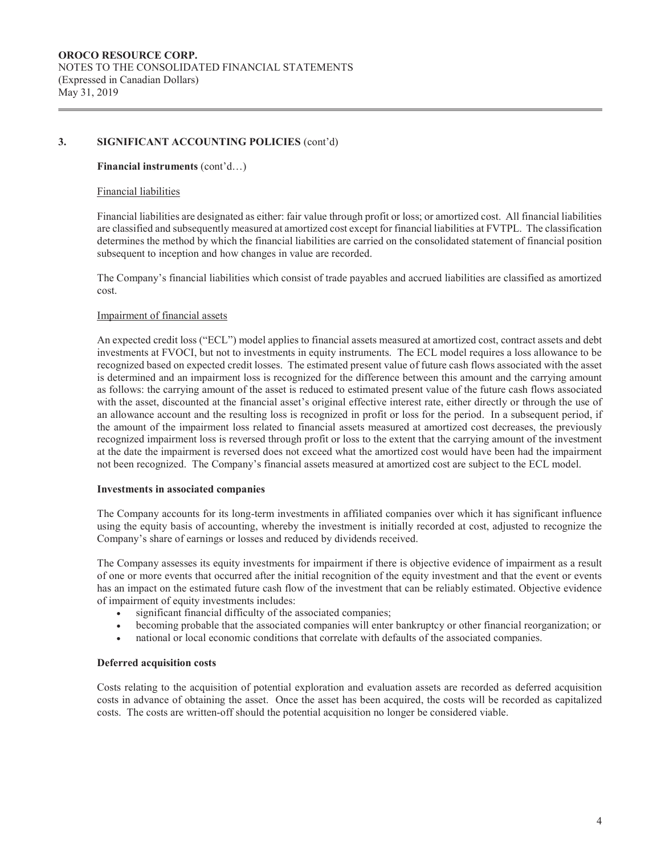# 3. SIGNIFICANT ACCOUNTING POLICIES (cont'd)

### Financial instruments (cont'd…)

#### Financial liabilities

 $\overline{a}$ 

Financial liabilities are designated as either: fair value through profit or loss; or amortized cost. All financial liabilities are classified and subsequently measured at amortized cost except for financial liabilities at FVTPL. The classification determines the method by which the financial liabilities are carried on the consolidated statement of financial position subsequent to inception and how changes in value are recorded.

The Company's financial liabilities which consist of trade payables and accrued liabilities are classified as amortized cost.

### Impairment of financial assets

An expected credit loss ("ECL") model applies to financial assets measured at amortized cost, contract assets and debt investments at FVOCI, but not to investments in equity instruments. The ECL model requires a loss allowance to be recognized based on expected credit losses. The estimated present value of future cash flows associated with the asset is determined and an impairment loss is recognized for the difference between this amount and the carrying amount as follows: the carrying amount of the asset is reduced to estimated present value of the future cash flows associated with the asset, discounted at the financial asset's original effective interest rate, either directly or through the use of an allowance account and the resulting loss is recognized in profit or loss for the period. In a subsequent period, if the amount of the impairment loss related to financial assets measured at amortized cost decreases, the previously recognized impairment loss is reversed through profit or loss to the extent that the carrying amount of the investment at the date the impairment is reversed does not exceed what the amortized cost would have been had the impairment not been recognized. The Company's financial assets measured at amortized cost are subject to the ECL model.

#### Investments in associated companies

The Company accounts for its long-term investments in affiliated companies over which it has significant influence using the equity basis of accounting, whereby the investment is initially recorded at cost, adjusted to recognize the Company's share of earnings or losses and reduced by dividends received.

The Company assesses its equity investments for impairment if there is objective evidence of impairment as a result of one or more events that occurred after the initial recognition of the equity investment and that the event or events has an impact on the estimated future cash flow of the investment that can be reliably estimated. Objective evidence of impairment of equity investments includes:

- significant financial difficulty of the associated companies;
- becoming probable that the associated companies will enter bankruptcy or other financial reorganization; or
- $\bullet$  national or local economic conditions that correlate with defaults of the associated companies.

#### Deferred acquisition costs

Costs relating to the acquisition of potential exploration and evaluation assets are recorded as deferred acquisition costs in advance of obtaining the asset. Once the asset has been acquired, the costs will be recorded as capitalized costs. The costs are written-off should the potential acquisition no longer be considered viable.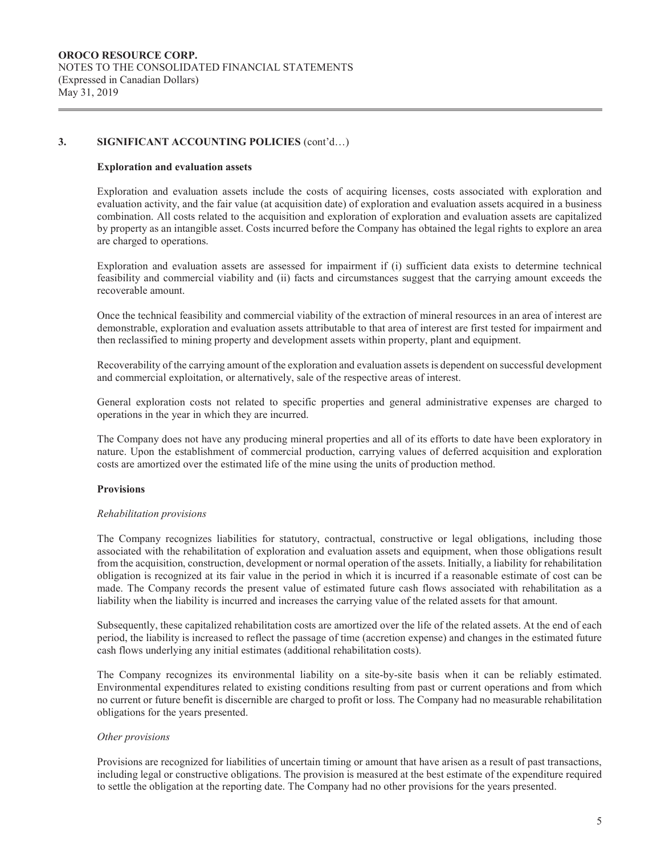# 3. SIGNIFICANT ACCOUNTING POLICIES (cont'd…)

#### Exploration and evaluation assets

 $\overline{a}$ 

Exploration and evaluation assets include the costs of acquiring licenses, costs associated with exploration and evaluation activity, and the fair value (at acquisition date) of exploration and evaluation assets acquired in a business combination. All costs related to the acquisition and exploration of exploration and evaluation assets are capitalized by property as an intangible asset. Costs incurred before the Company has obtained the legal rights to explore an area are charged to operations.

Exploration and evaluation assets are assessed for impairment if (i) sufficient data exists to determine technical feasibility and commercial viability and (ii) facts and circumstances suggest that the carrying amount exceeds the recoverable amount.

Once the technical feasibility and commercial viability of the extraction of mineral resources in an area of interest are demonstrable, exploration and evaluation assets attributable to that area of interest are first tested for impairment and then reclassified to mining property and development assets within property, plant and equipment.

Recoverability of the carrying amount of the exploration and evaluation assets is dependent on successful development and commercial exploitation, or alternatively, sale of the respective areas of interest.

General exploration costs not related to specific properties and general administrative expenses are charged to operations in the year in which they are incurred.

The Company does not have any producing mineral properties and all of its efforts to date have been exploratory in nature. Upon the establishment of commercial production, carrying values of deferred acquisition and exploration costs are amortized over the estimated life of the mine using the units of production method.

#### **Provisions**

#### *Rehabilitation provisions*

The Company recognizes liabilities for statutory, contractual, constructive or legal obligations, including those associated with the rehabilitation of exploration and evaluation assets and equipment, when those obligations result from the acquisition, construction, development or normal operation of the assets. Initially, a liability for rehabilitation obligation is recognized at its fair value in the period in which it is incurred if a reasonable estimate of cost can be made. The Company records the present value of estimated future cash flows associated with rehabilitation as a liability when the liability is incurred and increases the carrying value of the related assets for that amount.

Subsequently, these capitalized rehabilitation costs are amortized over the life of the related assets. At the end of each period, the liability is increased to reflect the passage of time (accretion expense) and changes in the estimated future cash flows underlying any initial estimates (additional rehabilitation costs).

The Company recognizes its environmental liability on a site-by-site basis when it can be reliably estimated. Environmental expenditures related to existing conditions resulting from past or current operations and from which no current or future benefit is discernible are charged to profit or loss. The Company had no measurable rehabilitation obligations for the years presented.

#### *Other provisions*

Provisions are recognized for liabilities of uncertain timing or amount that have arisen as a result of past transactions, including legal or constructive obligations. The provision is measured at the best estimate of the expenditure required to settle the obligation at the reporting date. The Company had no other provisions for the years presented.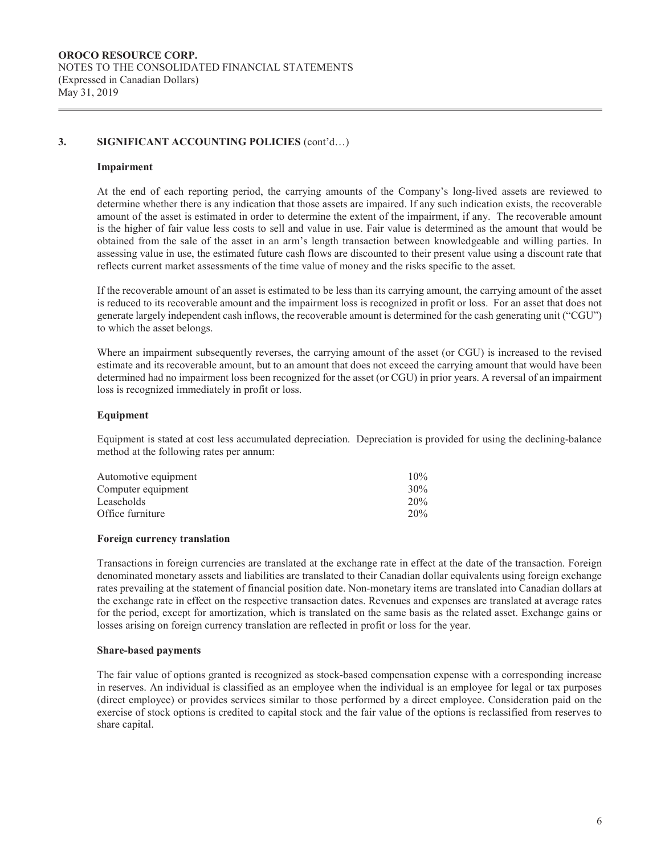# 3. SIGNIFICANT ACCOUNTING POLICIES (cont'd…)

#### Impairment

 $\overline{a}$ 

At the end of each reporting period, the carrying amounts of the Company's long-lived assets are reviewed to determine whether there is any indication that those assets are impaired. If any such indication exists, the recoverable amount of the asset is estimated in order to determine the extent of the impairment, if any. The recoverable amount is the higher of fair value less costs to sell and value in use. Fair value is determined as the amount that would be obtained from the sale of the asset in an arm's length transaction between knowledgeable and willing parties. In assessing value in use, the estimated future cash flows are discounted to their present value using a discount rate that reflects current market assessments of the time value of money and the risks specific to the asset.

If the recoverable amount of an asset is estimated to be less than its carrying amount, the carrying amount of the asset is reduced to its recoverable amount and the impairment loss is recognized in profit or loss. For an asset that does not generate largely independent cash inflows, the recoverable amount is determined for the cash generating unit ("CGU") to which the asset belongs.

Where an impairment subsequently reverses, the carrying amount of the asset (or CGU) is increased to the revised estimate and its recoverable amount, but to an amount that does not exceed the carrying amount that would have been determined had no impairment loss been recognized for the asset (or CGU) in prior years. A reversal of an impairment loss is recognized immediately in profit or loss.

### Equipment

Equipment is stated at cost less accumulated depreciation. Depreciation is provided for using the declining-balance method at the following rates per annum:

| Automotive equipment | $10\%$ |
|----------------------|--------|
| Computer equipment   | $30\%$ |
| Leaseholds           | 20%    |
| Office furniture     | 20%    |

#### Foreign currency translation

Transactions in foreign currencies are translated at the exchange rate in effect at the date of the transaction. Foreign denominated monetary assets and liabilities are translated to their Canadian dollar equivalents using foreign exchange rates prevailing at the statement of financial position date. Non-monetary items are translated into Canadian dollars at the exchange rate in effect on the respective transaction dates. Revenues and expenses are translated at average rates for the period, except for amortization, which is translated on the same basis as the related asset. Exchange gains or losses arising on foreign currency translation are reflected in profit or loss for the year.

#### Share-based payments

The fair value of options granted is recognized as stock-based compensation expense with a corresponding increase in reserves. An individual is classified as an employee when the individual is an employee for legal or tax purposes (direct employee) or provides services similar to those performed by a direct employee. Consideration paid on the exercise of stock options is credited to capital stock and the fair value of the options is reclassified from reserves to share capital.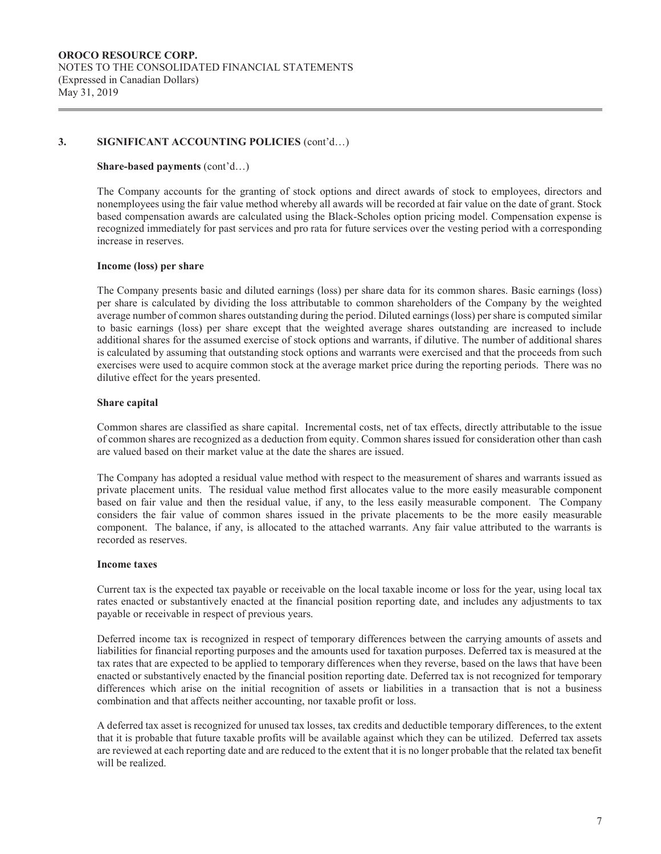# 3. SIGNIFICANT ACCOUNTING POLICIES (cont'd...)

#### Share-based payments (cont'd…)

The Company accounts for the granting of stock options and direct awards of stock to employees, directors and nonemployees using the fair value method whereby all awards will be recorded at fair value on the date of grant. Stock based compensation awards are calculated using the Black-Scholes option pricing model. Compensation expense is recognized immediately for past services and pro rata for future services over the vesting period with a corresponding increase in reserves.

### Income (loss) per share

 $\overline{a}$ 

The Company presents basic and diluted earnings (loss) per share data for its common shares. Basic earnings (loss) per share is calculated by dividing the loss attributable to common shareholders of the Company by the weighted average number of common shares outstanding during the period. Diluted earnings (loss) per share is computed similar to basic earnings (loss) per share except that the weighted average shares outstanding are increased to include additional shares for the assumed exercise of stock options and warrants, if dilutive. The number of additional shares is calculated by assuming that outstanding stock options and warrants were exercised and that the proceeds from such exercises were used to acquire common stock at the average market price during the reporting periods. There was no dilutive effect for the years presented.

### Share capital

Common shares are classified as share capital. Incremental costs, net of tax effects, directly attributable to the issue of common shares are recognized as a deduction from equity. Common shares issued for consideration other than cash are valued based on their market value at the date the shares are issued.

The Company has adopted a residual value method with respect to the measurement of shares and warrants issued as private placement units. The residual value method first allocates value to the more easily measurable component based on fair value and then the residual value, if any, to the less easily measurable component. The Company considers the fair value of common shares issued in the private placements to be the more easily measurable component. The balance, if any, is allocated to the attached warrants. Any fair value attributed to the warrants is recorded as reserves.

### Income taxes

Current tax is the expected tax payable or receivable on the local taxable income or loss for the year, using local tax rates enacted or substantively enacted at the financial position reporting date, and includes any adjustments to tax payable or receivable in respect of previous years.

Deferred income tax is recognized in respect of temporary differences between the carrying amounts of assets and liabilities for financial reporting purposes and the amounts used for taxation purposes. Deferred tax is measured at the tax rates that are expected to be applied to temporary differences when they reverse, based on the laws that have been enacted or substantively enacted by the financial position reporting date. Deferred tax is not recognized for temporary differences which arise on the initial recognition of assets or liabilities in a transaction that is not a business combination and that affects neither accounting, nor taxable profit or loss.

A deferred tax asset is recognized for unused tax losses, tax credits and deductible temporary differences, to the extent that it is probable that future taxable profits will be available against which they can be utilized. Deferred tax assets are reviewed at each reporting date and are reduced to the extent that it is no longer probable that the related tax benefit will be realized.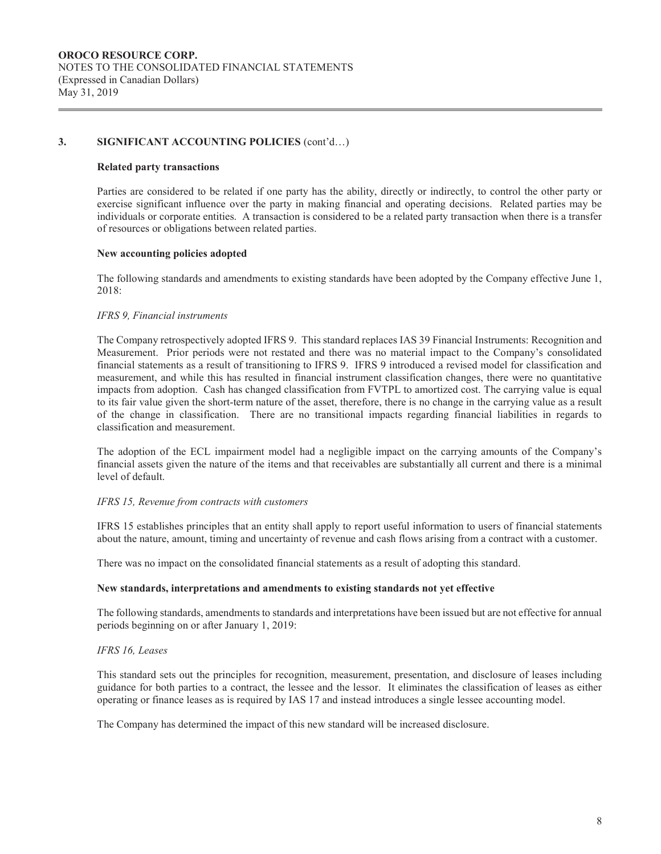# 3. SIGNIFICANT ACCOUNTING POLICIES (cont'd…)

### Related party transactions

 $\overline{a}$ 

Parties are considered to be related if one party has the ability, directly or indirectly, to control the other party or exercise significant influence over the party in making financial and operating decisions. Related parties may be individuals or corporate entities. A transaction is considered to be a related party transaction when there is a transfer of resources or obligations between related parties.

#### New accounting policies adopted

The following standards and amendments to existing standards have been adopted by the Company effective June 1, 2018:

### *IFRS 9, Financial instruments*

The Company retrospectively adopted IFRS 9. This standard replaces IAS 39 Financial Instruments: Recognition and Measurement. Prior periods were not restated and there was no material impact to the Company's consolidated financial statements as a result of transitioning to IFRS 9. IFRS 9 introduced a revised model for classification and measurement, and while this has resulted in financial instrument classification changes, there were no quantitative impacts from adoption. Cash has changed classification from FVTPL to amortized cost. The carrying value is equal to its fair value given the short-term nature of the asset, therefore, there is no change in the carrying value as a result of the change in classification. There are no transitional impacts regarding financial liabilities in regards to classification and measurement.

The adoption of the ECL impairment model had a negligible impact on the carrying amounts of the Company's financial assets given the nature of the items and that receivables are substantially all current and there is a minimal level of default.

# *IFRS 15, Revenue from contracts with customers*

IFRS 15 establishes principles that an entity shall apply to report useful information to users of financial statements about the nature, amount, timing and uncertainty of revenue and cash flows arising from a contract with a customer.

There was no impact on the consolidated financial statements as a result of adopting this standard.

#### New standards, interpretations and amendments to existing standards not yet effective

The following standards, amendments to standards and interpretations have been issued but are not effective for annual periods beginning on or after January 1, 2019:

# *IFRS 16, Leases*

This standard sets out the principles for recognition, measurement, presentation, and disclosure of leases including guidance for both parties to a contract, the lessee and the lessor. It eliminates the classification of leases as either operating or finance leases as is required by IAS 17 and instead introduces a single lessee accounting model.

The Company has determined the impact of this new standard will be increased disclosure.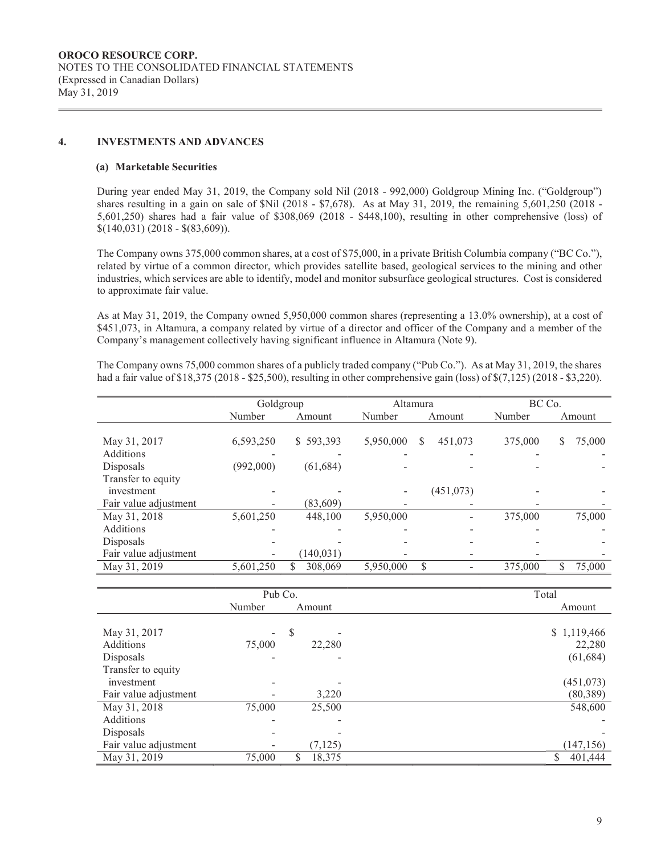### 4. INVESTMENTS AND ADVANCES

 $\overline{a}$ 

#### (a) Marketable Securities

During year ended May 31, 2019, the Company sold Nil (2018 - 992,000) Goldgroup Mining Inc. ("Goldgroup") shares resulting in a gain on sale of \$Nil (2018 - \$7,678). As at May 31, 2019, the remaining 5,601,250 (2018 - 5,601,250) shares had a fair value of \$308,069 (2018 - \$448,100), resulting in other comprehensive (loss) of \$(140,031) (2018 - \$(83,609)).

The Company owns 375,000 common shares, at a cost of \$75,000, in a private British Columbia company ("BC Co."), related by virtue of a common director, which provides satellite based, geological services to the mining and other industries, which services are able to identify, model and monitor subsurface geological structures. Cost is considered to approximate fair value.

As at May 31, 2019, the Company owned 5,950,000 common shares (representing a 13.0% ownership), at a cost of \$451,073, in Altamura, a company related by virtue of a director and officer of the Company and a member of the Company's management collectively having significant influence in Altamura (Note 9).

The Company owns 75,000 common shares of a publicly traded company ("Pub Co."). As at May 31, 2019, the shares had a fair value of \$18,375 (2018 - \$25,500), resulting in other comprehensive gain (loss) of \$(7,125) (2018 - \$3,220).

|                       | Goldgroup |              |           | Altamura                 | BC Co.  |              |  |  |
|-----------------------|-----------|--------------|-----------|--------------------------|---------|--------------|--|--|
|                       | Number    | Amount       | Number    | Amount                   | Number  | Amount       |  |  |
|                       |           |              |           |                          |         |              |  |  |
| May 31, 2017          | 6,593,250 | \$593,393    | 5,950,000 | 451,073<br>S             | 375,000 | 75,000<br>\$ |  |  |
| <b>Additions</b>      |           |              |           | $\overline{\phantom{0}}$ |         |              |  |  |
| Disposals             | (992,000) | (61, 684)    |           |                          |         |              |  |  |
| Transfer to equity    |           |              |           |                          |         |              |  |  |
| investment            |           |              |           | (451, 073)               |         |              |  |  |
| Fair value adjustment |           | (83, 609)    |           |                          |         |              |  |  |
| May 31, 2018          | 5,601,250 | 448,100      | 5,950,000 |                          | 375,000 | 75,000       |  |  |
| Additions             |           |              |           |                          |         |              |  |  |
| Disposals             |           |              |           |                          |         |              |  |  |
| Fair value adjustment |           | (140, 031)   |           |                          |         |              |  |  |
| May 31, 2019          | 5,601,250 | S<br>308,069 | 5,950,000 | \$                       | 375,000 | 75,000       |  |  |

|                       | Pub Co.                  |                          | Total         |
|-----------------------|--------------------------|--------------------------|---------------|
|                       | Number                   | Amount                   | Amount        |
|                       |                          |                          |               |
| May 31, 2017          | $\overline{\phantom{0}}$ | $\mathcal{S}$            | \$1,119,466   |
| Additions             | 75,000                   | 22,280                   | 22,280        |
| Disposals             | -                        |                          | (61, 684)     |
| Transfer to equity    |                          |                          |               |
| investment            |                          |                          | (451,073)     |
| Fair value adjustment |                          | 3,220                    | (80, 389)     |
| May 31, 2018          | 75,000                   | 25,500                   | 548,600       |
| Additions             | -                        | $\overline{\phantom{a}}$ |               |
| Disposals             |                          |                          |               |
| Fair value adjustment | ۰                        | (7, 125)                 | (147, 156)    |
| May 31, 2019          | 75,000                   | 18,375<br>S              | \$<br>401,444 |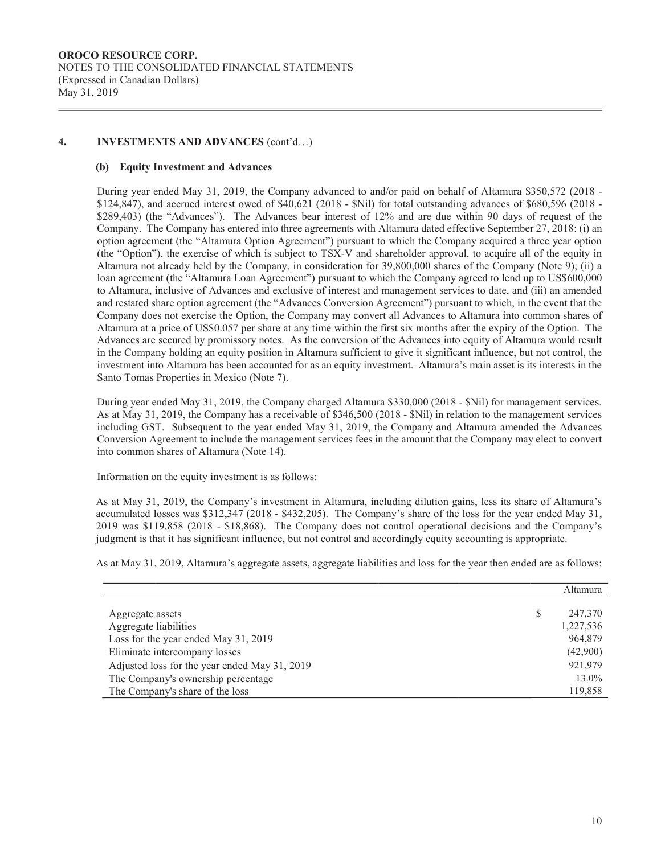# 4. INVESTMENTS AND ADVANCES (cont'd…)

 $\overline{a}$ 

### (b) Equity Investment and Advances

During year ended May 31, 2019, the Company advanced to and/or paid on behalf of Altamura \$350,572 (2018 - \$124,847), and accrued interest owed of \$40,621 (2018 - \$Nil) for total outstanding advances of \$680,596 (2018 - \$289,403) (the "Advances"). The Advances bear interest of 12% and are due within 90 days of request of the Company. The Company has entered into three agreements with Altamura dated effective September 27, 2018: (i) an option agreement (the "Altamura Option Agreement") pursuant to which the Company acquired a three year option (the "Option"), the exercise of which is subject to TSX-V and shareholder approval, to acquire all of the equity in Altamura not already held by the Company, in consideration for 39,800,000 shares of the Company (Note 9); (ii) a loan agreement (the "Altamura Loan Agreement") pursuant to which the Company agreed to lend up to US\$600,000 to Altamura, inclusive of Advances and exclusive of interest and management services to date, and (iii) an amended and restated share option agreement (the "Advances Conversion Agreement") pursuant to which, in the event that the Company does not exercise the Option, the Company may convert all Advances to Altamura into common shares of Altamura at a price of US\$0.057 per share at any time within the first six months after the expiry of the Option. The Advances are secured by promissory notes. As the conversion of the Advances into equity of Altamura would result in the Company holding an equity position in Altamura sufficient to give it significant influence, but not control, the investment into Altamura has been accounted for as an equity investment. Altamura's main asset is its interests in the Santo Tomas Properties in Mexico (Note 7).

During year ended May 31, 2019, the Company charged Altamura \$330,000 (2018 - \$Nil) for management services. As at May 31, 2019, the Company has a receivable of \$346,500 (2018 - \$Nil) in relation to the management services including GST. Subsequent to the year ended May 31, 2019, the Company and Altamura amended the Advances Conversion Agreement to include the management services fees in the amount that the Company may elect to convert into common shares of Altamura (Note 14).

Information on the equity investment is as follows:

As at May 31, 2019, the Company's investment in Altamura, including dilution gains, less its share of Altamura's accumulated losses was \$312,347 (2018 - \$432,205). The Company's share of the loss for the year ended May 31, 2019 was \$119,858 (2018 - \$18,868). The Company does not control operational decisions and the Company's judgment is that it has significant influence, but not control and accordingly equity accounting is appropriate.

As at May 31, 2019, Altamura's aggregate assets, aggregate liabilities and loss for the year then ended are as follows:

|                                               |   | Altamura  |
|-----------------------------------------------|---|-----------|
|                                               |   |           |
| Aggregate assets                              | S | 247,370   |
| Aggregate liabilities                         |   | 1,227,536 |
| Loss for the year ended May 31, 2019          |   | 964,879   |
| Eliminate intercompany losses                 |   | (42,900)  |
| Adjusted loss for the year ended May 31, 2019 |   | 921,979   |
| The Company's ownership percentage            |   | 13.0%     |
| The Company's share of the loss               |   | 119,858   |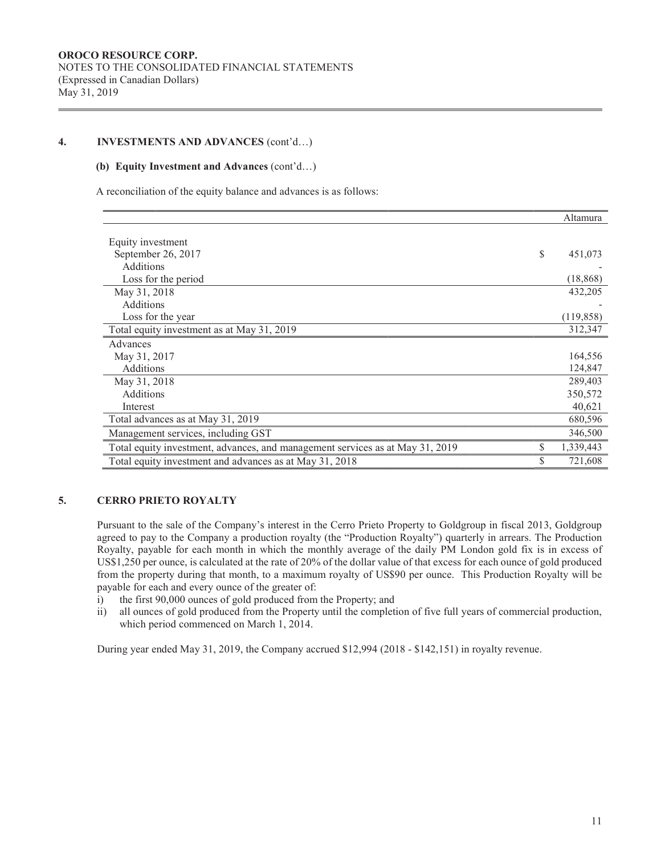### 4. INVESTMENTS AND ADVANCES (cont'd…)

 $\overline{a}$ 

### (b) Equity Investment and Advances (cont'd…)

A reconciliation of the equity balance and advances is as follows:

|                                                                               | Altamura      |
|-------------------------------------------------------------------------------|---------------|
|                                                                               |               |
| Equity investment                                                             |               |
| September 26, 2017                                                            | \$<br>451,073 |
| <b>Additions</b>                                                              |               |
| Loss for the period                                                           | (18, 868)     |
| May 31, 2018                                                                  | 432,205       |
| Additions                                                                     |               |
| Loss for the year                                                             | (119, 858)    |
| Total equity investment as at May 31, 2019                                    | 312,347       |
| Advances                                                                      |               |
| May 31, 2017                                                                  | 164,556       |
| Additions                                                                     | 124,847       |
| May 31, 2018                                                                  | 289,403       |
| Additions                                                                     | 350,572       |
| Interest                                                                      | 40,621        |
| Total advances as at May 31, 2019                                             | 680,596       |
| Management services, including GST                                            | 346,500       |
| Total equity investment, advances, and management services as at May 31, 2019 | 1,339,443     |
| Total equity investment and advances as at May 31, 2018                       | 721,608       |

## 5. CERRO PRIETO ROYALTY

Pursuant to the sale of the Company's interest in the Cerro Prieto Property to Goldgroup in fiscal 2013, Goldgroup agreed to pay to the Company a production royalty (the "Production Royalty") quarterly in arrears. The Production Royalty, payable for each month in which the monthly average of the daily PM London gold fix is in excess of US\$1,250 per ounce, is calculated at the rate of 20% of the dollar value of that excess for each ounce of gold produced from the property during that month, to a maximum royalty of US\$90 per ounce. This Production Royalty will be payable for each and every ounce of the greater of:

- i) the first 90,000 ounces of gold produced from the Property; and
- ii) all ounces of gold produced from the Property until the completion of five full years of commercial production, which period commenced on March 1, 2014.

During year ended May 31, 2019, the Company accrued \$12,994 (2018 - \$142,151) in royalty revenue.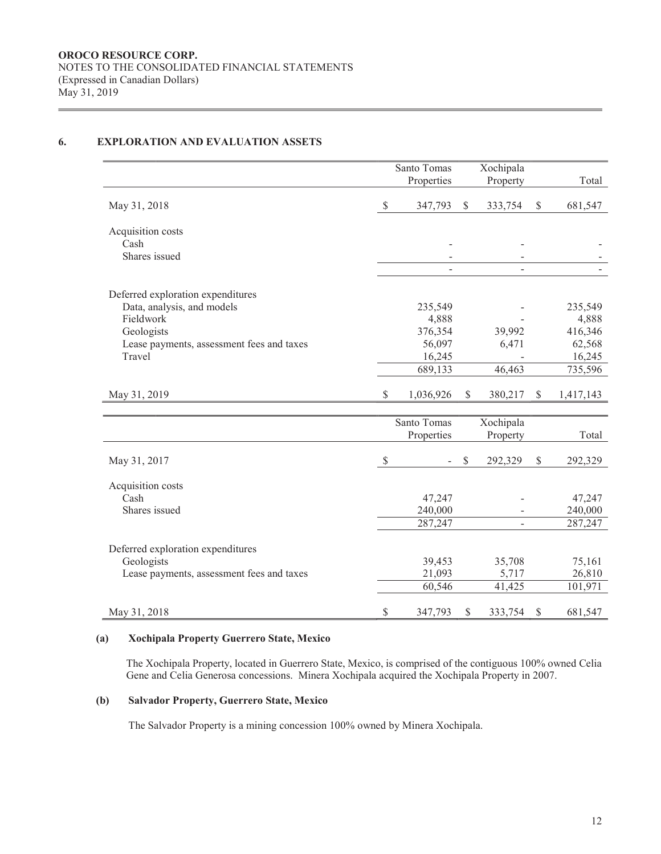|                                                                 |               | Santo Tomas |               | Xochipala                |              |           |
|-----------------------------------------------------------------|---------------|-------------|---------------|--------------------------|--------------|-----------|
|                                                                 |               | Properties  |               | Property                 |              | Total     |
| May 31, 2018                                                    | $\mathcal{S}$ | 347,793     | $\mathbb{S}$  | 333,754                  | \$           | 681,547   |
| Acquisition costs                                               |               |             |               |                          |              |           |
| Cash                                                            |               |             |               |                          |              |           |
| Shares issued                                                   |               |             |               |                          |              |           |
|                                                                 |               |             |               |                          |              |           |
|                                                                 |               |             |               |                          |              |           |
| Deferred exploration expenditures<br>Data, analysis, and models |               | 235,549     |               |                          |              | 235,549   |
| Fieldwork                                                       |               | 4,888       |               |                          |              | 4,888     |
| Geologists                                                      |               | 376,354     |               | 39,992                   |              | 416,346   |
| Lease payments, assessment fees and taxes                       |               | 56,097      |               | 6,471                    |              | 62,568    |
| Travel                                                          |               | 16,245      |               |                          |              | 16,245    |
|                                                                 |               | 689,133     |               | 46,463                   |              | 735,596   |
|                                                                 |               |             |               |                          |              |           |
| May 31, 2019                                                    | \$            | 1,036,926   | \$            | 380,217                  | \$           | 1,417,143 |
|                                                                 |               |             |               |                          |              |           |
|                                                                 |               | Santo Tomas |               | Xochipala                |              |           |
|                                                                 |               | Properties  |               | Property                 |              | Total     |
| May 31, 2017                                                    | $\mathbb{S}$  |             | $\mathcal{S}$ | 292,329                  | $\mathbb{S}$ | 292,329   |
| Acquisition costs                                               |               |             |               |                          |              |           |
| Cash                                                            |               | 47,247      |               |                          |              | 47,247    |
| Shares issued                                                   |               | 240,000     |               |                          |              | 240,000   |
|                                                                 |               | 287,247     |               | $\overline{\phantom{a}}$ |              | 287,247   |
|                                                                 |               |             |               |                          |              |           |
| Deferred exploration expenditures                               |               |             |               |                          |              |           |
| Geologists                                                      |               | 39,453      |               | 35,708                   |              | 75,161    |
| Lease payments, assessment fees and taxes                       |               | 21,093      |               | 5,717                    |              | 26,810    |
|                                                                 |               | 60,546      |               | 41,425                   |              | 101,971   |
| May 31, 2018                                                    | \$            | 347,793     | \$            | 333,754                  | \$           | 681,547   |

# 6. EXPLORATION AND EVALUATION ASSETS

 $\overline{a}$ 

# (a) Xochipala Property Guerrero State, Mexico

The Xochipala Property, located in Guerrero State, Mexico, is comprised of the contiguous 100% owned Celia Gene and Celia Generosa concessions. Minera Xochipala acquired the Xochipala Property in 2007.

## (b) Salvador Property, Guerrero State, Mexico

The Salvador Property is a mining concession 100% owned by Minera Xochipala.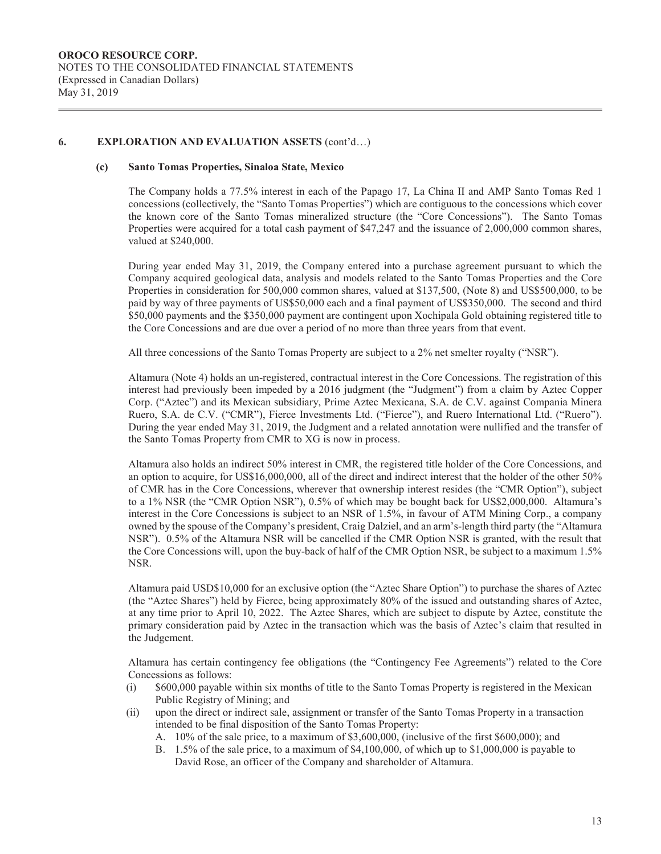$\overline{a}$ 

# 6. EXPLORATION AND EVALUATION ASSETS (cont'd…)

#### (c) Santo Tomas Properties, Sinaloa State, Mexico

The Company holds a 77.5% interest in each of the Papago 17, La China II and AMP Santo Tomas Red 1 concessions (collectively, the "Santo Tomas Properties") which are contiguous to the concessions which cover the known core of the Santo Tomas mineralized structure (the "Core Concessions"). The Santo Tomas Properties were acquired for a total cash payment of \$47,247 and the issuance of 2,000,000 common shares, valued at \$240,000.

During year ended May 31, 2019, the Company entered into a purchase agreement pursuant to which the Company acquired geological data, analysis and models related to the Santo Tomas Properties and the Core Properties in consideration for 500,000 common shares, valued at \$137,500, (Note 8) and US\$500,000, to be paid by way of three payments of US\$50,000 each and a final payment of US\$350,000. The second and third \$50,000 payments and the \$350,000 payment are contingent upon Xochipala Gold obtaining registered title to the Core Concessions and are due over a period of no more than three years from that event.

All three concessions of the Santo Tomas Property are subject to a 2% net smelter royalty ("NSR").

Altamura (Note 4) holds an un-registered, contractual interest in the Core Concessions. The registration of this interest had previously been impeded by a 2016 judgment (the "Judgment") from a claim by Aztec Copper Corp. ("Aztec") and its Mexican subsidiary, Prime Aztec Mexicana, S.A. de C.V. against Compania Minera Ruero, S.A. de C.V. ("CMR"), Fierce Investments Ltd. ("Fierce"), and Ruero International Ltd. ("Ruero"). During the year ended May 31, 2019, the Judgment and a related annotation were nullified and the transfer of the Santo Tomas Property from CMR to XG is now in process.

Altamura also holds an indirect 50% interest in CMR, the registered title holder of the Core Concessions, and an option to acquire, for US\$16,000,000, all of the direct and indirect interest that the holder of the other 50% of CMR has in the Core Concessions, wherever that ownership interest resides (the "CMR Option"), subject to a 1% NSR (the "CMR Option NSR"), 0.5% of which may be bought back for US\$2,000,000. Altamura's interest in the Core Concessions is subject to an NSR of 1.5%, in favour of ATM Mining Corp., a company owned by the spouse of the Company's president, Craig Dalziel, and an arm's-length third party (the "Altamura NSR"). 0.5% of the Altamura NSR will be cancelled if the CMR Option NSR is granted, with the result that the Core Concessions will, upon the buy-back of half of the CMR Option NSR, be subject to a maximum 1.5% NSR.

Altamura paid USD\$10,000 for an exclusive option (the "Aztec Share Option") to purchase the shares of Aztec (the "Aztec Shares") held by Fierce, being approximately 80% of the issued and outstanding shares of Aztec, at any time prior to April 10, 2022. The Aztec Shares, which are subject to dispute by Aztec, constitute the primary consideration paid by Aztec in the transaction which was the basis of Aztec's claim that resulted in the Judgement.

Altamura has certain contingency fee obligations (the "Contingency Fee Agreements") related to the Core Concessions as follows:

- (i) \$600,000 payable within six months of title to the Santo Tomas Property is registered in the Mexican Public Registry of Mining; and
- (ii) upon the direct or indirect sale, assignment or transfer of the Santo Tomas Property in a transaction intended to be final disposition of the Santo Tomas Property:
	- A. 10% of the sale price, to a maximum of \$3,600,000, (inclusive of the first \$600,000); and
	- B. 1.5% of the sale price, to a maximum of \$4,100,000, of which up to \$1,000,000 is payable to David Rose, an officer of the Company and shareholder of Altamura.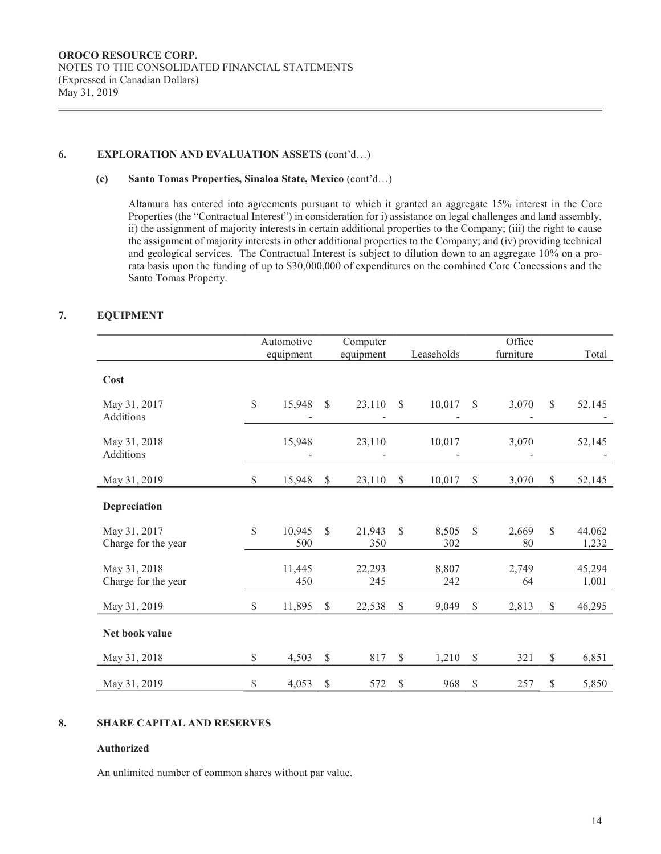# 6. EXPLORATION AND EVALUATION ASSETS (cont'd…)

#### (c) Santo Tomas Properties, Sinaloa State, Mexico (cont'd…)

Altamura has entered into agreements pursuant to which it granted an aggregate 15% interest in the Core Properties (the "Contractual Interest") in consideration for i) assistance on legal challenges and land assembly, ii) the assignment of majority interests in certain additional properties to the Company; (iii) the right to cause the assignment of majority interests in other additional properties to the Company; and (iv) providing technical and geological services. The Contractual Interest is subject to dilution down to an aggregate 10% on a prorata basis upon the funding of up to \$30,000,000 of expenditures on the combined Core Concessions and the Santo Tomas Property.

# 7. EQUIPMENT

 $\overline{a}$ 

|                                     | Automotive          |              | Computer      |              |              |               | Office      |               |                 |
|-------------------------------------|---------------------|--------------|---------------|--------------|--------------|---------------|-------------|---------------|-----------------|
|                                     | equipment           |              | equipment     |              | Leaseholds   |               | furniture   |               | Total           |
| Cost                                |                     |              |               |              |              |               |             |               |                 |
| May 31, 2017<br>Additions           | \$<br>15,948        | $\mathbb{S}$ | 23,110        | $\mathbb{S}$ | 10,017       | $\mathcal{S}$ | 3,070       | $\mathcal{S}$ | 52,145          |
| May 31, 2018<br>Additions           | 15,948              |              | 23,110        |              | 10,017       |               | 3,070       |               | 52,145          |
| May 31, 2019                        | \$<br>15,948        | $\$$         | 23,110        | $\mathbb{S}$ | 10,017       | $\$$          | 3,070       | $\mathbb{S}$  | 52,145          |
| Depreciation                        |                     |              |               |              |              |               |             |               |                 |
| May 31, 2017<br>Charge for the year | \$<br>10,945<br>500 | \$           | 21,943<br>350 | $\mathbb{S}$ | 8,505<br>302 | \$            | 2,669<br>80 | $\mathcal{S}$ | 44,062<br>1,232 |
| May 31, 2018<br>Charge for the year | 11,445<br>450       |              | 22,293<br>245 |              | 8,807<br>242 |               | 2,749<br>64 |               | 45,294<br>1,001 |
| May 31, 2019                        | \$<br>11,895        | \$           | 22,538        | \$           | 9,049        | \$            | 2,813       | $\mathcal{S}$ | 46,295          |
| Net book value                      |                     |              |               |              |              |               |             |               |                 |
| May 31, 2018                        | \$<br>4,503         | \$           | 817           | $\mathbb{S}$ | 1,210        | $\$$          | 321         | $\$$          | 6,851           |
| May 31, 2019                        | \$<br>4,053         | \$           | 572           | \$           | 968          | \$            | 257         | $\$$          | 5,850           |

# 8. SHARE CAPITAL AND RESERVES

#### Authorized

An unlimited number of common shares without par value.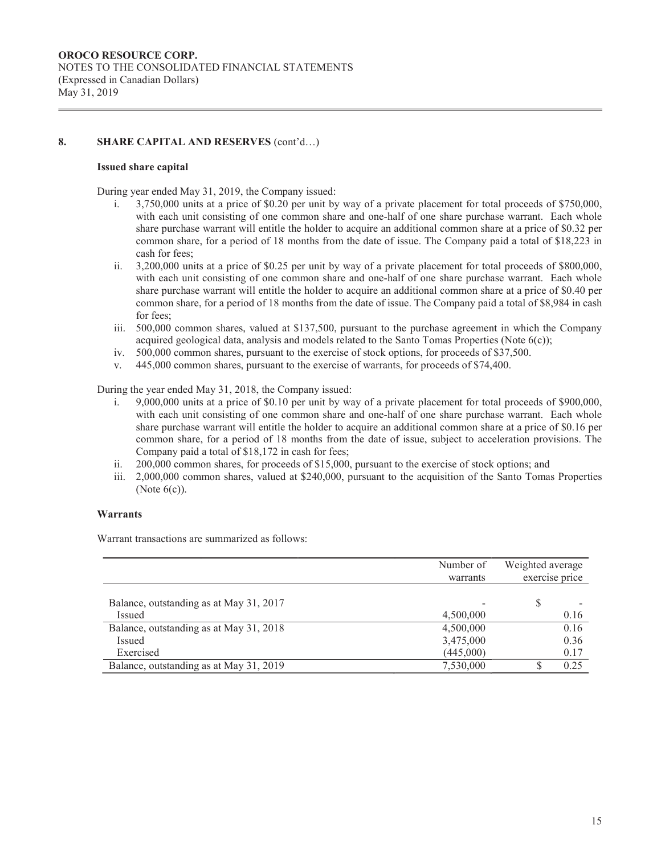# 8. SHARE CAPITAL AND RESERVES (cont'd...)

#### Issued share capital

 $\overline{a}$ 

During year ended May 31, 2019, the Company issued:

- i. 3,750,000 units at a price of \$0.20 per unit by way of a private placement for total proceeds of \$750,000, with each unit consisting of one common share and one-half of one share purchase warrant. Each whole share purchase warrant will entitle the holder to acquire an additional common share at a price of \$0.32 per common share, for a period of 18 months from the date of issue. The Company paid a total of \$18,223 in cash for fees;
- ii. 3,200,000 units at a price of \$0.25 per unit by way of a private placement for total proceeds of \$800,000, with each unit consisting of one common share and one-half of one share purchase warrant. Each whole share purchase warrant will entitle the holder to acquire an additional common share at a price of \$0.40 per common share, for a period of 18 months from the date of issue. The Company paid a total of \$8,984 in cash for fees;
- iii. 500,000 common shares, valued at \$137,500, pursuant to the purchase agreement in which the Company acquired geological data, analysis and models related to the Santo Tomas Properties (Note  $6(c)$ );
- iv. 500,000 common shares, pursuant to the exercise of stock options, for proceeds of \$37,500.
- v. 445,000 common shares, pursuant to the exercise of warrants, for proceeds of \$74,400.

During the year ended May 31, 2018, the Company issued:

- i. 9,000,000 units at a price of \$0.10 per unit by way of a private placement for total proceeds of \$900,000, with each unit consisting of one common share and one-half of one share purchase warrant. Each whole share purchase warrant will entitle the holder to acquire an additional common share at a price of \$0.16 per common share, for a period of 18 months from the date of issue, subject to acceleration provisions. The Company paid a total of \$18,172 in cash for fees;
- ii. 200,000 common shares, for proceeds of \$15,000, pursuant to the exercise of stock options; and
- iii. 2,000,000 common shares, valued at \$240,000, pursuant to the acquisition of the Santo Tomas Properties (Note 6(c)).

#### Warrants

Warrant transactions are summarized as follows:

|                                         | Number of | Weighted average |
|-----------------------------------------|-----------|------------------|
|                                         | warrants  | exercise price   |
| Balance, outstanding as at May 31, 2017 |           |                  |
| Issued                                  | 4,500,000 | 0.16             |
| Balance, outstanding as at May 31, 2018 | 4,500,000 | 0.16             |
| Issued                                  | 3,475,000 | 0.36             |
| Exercised                               | (445,000) | 0.17             |
| Balance, outstanding as at May 31, 2019 | 7,530,000 | 0.25             |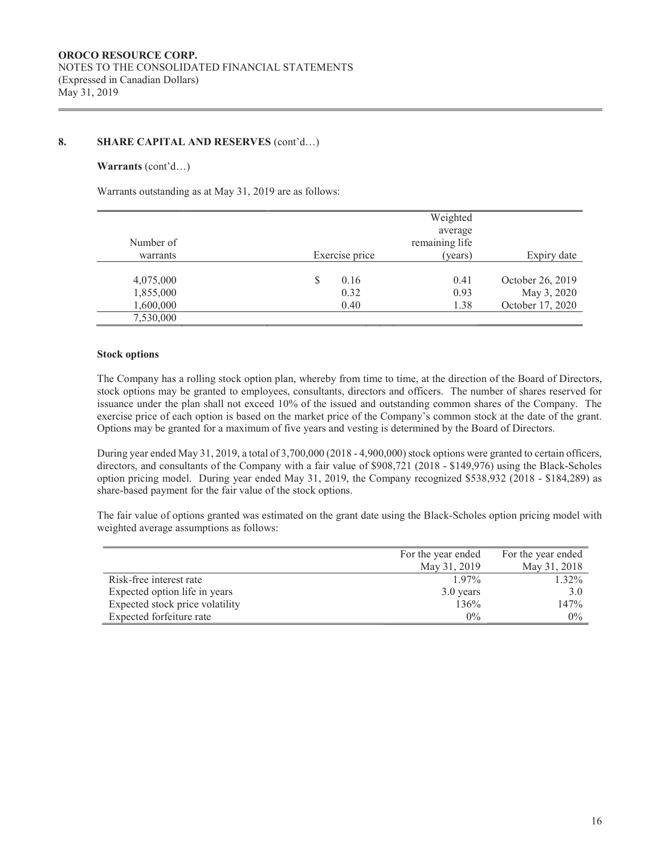# 8. SHARE CAPITAL AND RESERVES (cont'd...)

#### Warrants (cont'd...)

 $\overline{a}$ 

Warrants outstanding as at May 31, 2019 are as follows:

|           |                | Weighted       |                  |
|-----------|----------------|----------------|------------------|
|           |                | average        |                  |
| Number of |                | remaining life |                  |
| warrants  | Exercise price | (years)        | Expiry date      |
|           |                |                |                  |
| 4,075,000 | \$<br>0.16     | 0.41           | October 26, 2019 |
| 1,855,000 | 0.32           | 0.93           | May 3, 2020      |
| 1,600,000 | 0.40           | 1.38           | October 17, 2020 |
| 7,530,000 |                |                |                  |

#### Stock options

The Company has a rolling stock option plan, whereby from time to time, at the direction of the Board of Directors, stock options may be granted to employees, consultants, directors and officers. The number of shares reserved for issuance under the plan shall not exceed 10% of the issued and outstanding common shares of the Company. The exercise price of each option is based on the market price of the Company's common stock at the date of the grant. Options may be granted for a maximum of five years and vesting is determined by the Board of Directors.

During year ended May 31, 2019, a total of 3,700,000 (2018 - 4,900,000) stock options were granted to certain officers, directors, and consultants of the Company with a fair value of  $$908,721 (2018 - $149,976)$  using the Black-Scholes option pricing model. During year ended May 31, 2019, the Company recognized \$538,932 (2018 - \$184,289) as share-based payment for the fair value of the stock options.

The fair value of options granted was estimated on the grant date using the Black-Scholes option pricing model with weighted average assumptions as follows:

|                                 | For the year ended | For the year ended |
|---------------------------------|--------------------|--------------------|
|                                 | May 31, 2019       | May 31, 2018       |
| Risk-free interest rate         | 1.97%              | 1.32%              |
| Expected option life in years   | 3.0 years          | 3.0                |
| Expected stock price volatility | 136%               | 147%               |
| Expected forfeiture rate        | $0\%$              | $0\%$              |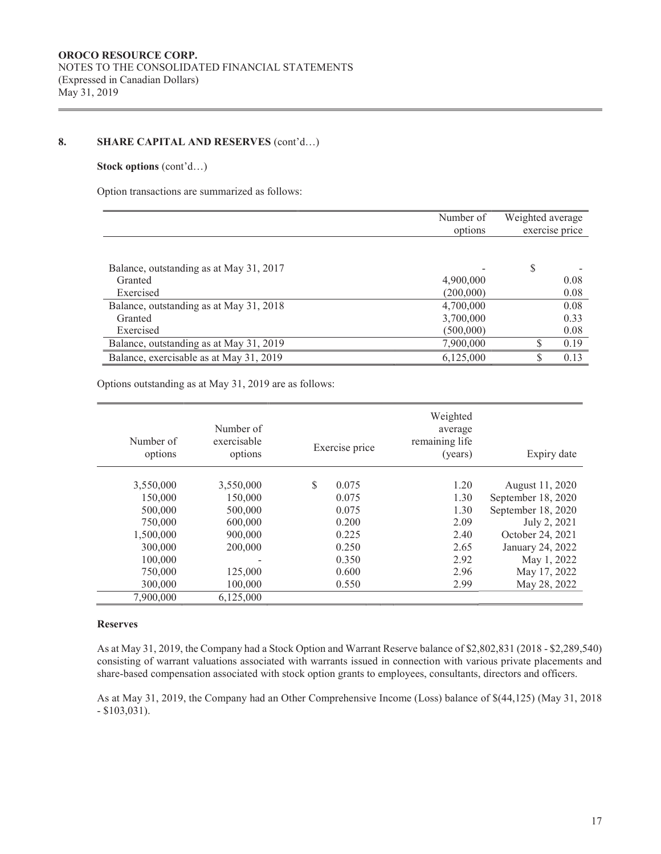# 8. SHARE CAPITAL AND RESERVES (cont'd...)

### Stock options (cont'd…)

 $\overline{a}$ 

Option transactions are summarized as follows:

|                                         | Number of | Weighted average |                |
|-----------------------------------------|-----------|------------------|----------------|
|                                         | options   |                  | exercise price |
|                                         |           |                  |                |
| Balance, outstanding as at May 31, 2017 |           | \$               |                |
| Granted                                 | 4,900,000 |                  | 0.08           |
| Exercised                               | (200,000) |                  | 0.08           |
| Balance, outstanding as at May 31, 2018 | 4,700,000 |                  | 0.08           |
| Granted                                 | 3,700,000 |                  | 0.33           |
| Exercised                               | (500,000) |                  | 0.08           |
| Balance, outstanding as at May 31, 2019 | 7,900,000 |                  | 0.19           |
| Balance, exercisable as at May 31, 2019 | 6,125,000 |                  | 0.13           |

Options outstanding as at May 31, 2019 are as follows:

| Number of<br>options                                                          | Number of<br>exercisable<br>options                              | Exercise price                                                    | Weighted<br>average<br>remaining life<br>(years)     | Expiry date                                                                                                                        |
|-------------------------------------------------------------------------------|------------------------------------------------------------------|-------------------------------------------------------------------|------------------------------------------------------|------------------------------------------------------------------------------------------------------------------------------------|
| 3,550,000<br>150,000<br>500,000<br>750,000<br>1,500,000<br>300,000<br>100,000 | 3,550,000<br>150,000<br>500,000<br>600,000<br>900,000<br>200,000 | \$<br>0.075<br>0.075<br>0.075<br>0.200<br>0.225<br>0.250<br>0.350 | 1.20<br>1.30<br>1.30<br>2.09<br>2.40<br>2.65<br>2.92 | August 11, 2020<br>September 18, 2020<br>September 18, 2020<br>July 2, 2021<br>October 24, 2021<br>January 24, 2022<br>May 1, 2022 |
| 750,000<br>300,000<br>7,900,000                                               | 125,000<br>100,000<br>6,125,000                                  | 0.600<br>0.550                                                    | 2.96<br>2.99                                         | May 17, 2022<br>May 28, 2022                                                                                                       |

# Reserves

As at May 31, 2019, the Company had a Stock Option and Warrant Reserve balance of \$2,802,831 (2018 - \$2,289,540) consisting of warrant valuations associated with warrants issued in connection with various private placements and share-based compensation associated with stock option grants to employees, consultants, directors and officers.

As at May 31, 2019, the Company had an Other Comprehensive Income (Loss) balance of \$(44,125) (May 31, 2018 - \$103,031).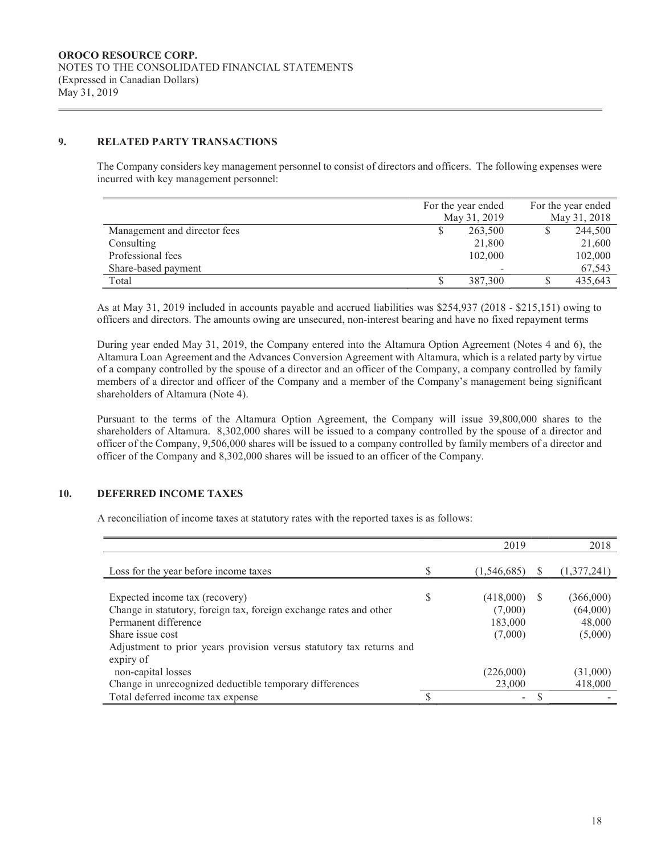# 9. RELATED PARTY TRANSACTIONS

 $\overline{a}$ 

The Company considers key management personnel to consist of directors and officers. The following expenses were incurred with key management personnel:

|                              | For the year ended | For the year ended |
|------------------------------|--------------------|--------------------|
|                              | May 31, 2019       | May 31, 2018       |
| Management and director fees | 263,500            | 244,500            |
| Consulting                   | 21,800             | 21,600             |
| Professional fees            | 102,000            | 102,000            |
| Share-based payment          | -                  | 67,543             |
| Total                        | 387,300            | 435,643            |

As at May 31, 2019 included in accounts payable and accrued liabilities was \$254,937 (2018 - \$215,151) owing to officers and directors. The amounts owing are unsecured, non-interest bearing and have no fixed repayment terms

During year ended May 31, 2019, the Company entered into the Altamura Option Agreement (Notes 4 and 6), the Altamura Loan Agreement and the Advances Conversion Agreement with Altamura, which is a related party by virtue of a company controlled by the spouse of a director and an officer of the Company, a company controlled by family members of a director and officer of the Company and a member of the Company's management being significant shareholders of Altamura (Note 4).

Pursuant to the terms of the Altamura Option Agreement, the Company will issue 39,800,000 shares to the shareholders of Altamura. 8,302,000 shares will be issued to a company controlled by the spouse of a director and officer of the Company, 9,506,000 shares will be issued to a company controlled by family members of a director and officer of the Company and 8,302,000 shares will be issued to an officer of the Company.

# 10. DEFERRED INCOME TAXES

A reconciliation of income taxes at statutory rates with the reported taxes is as follows:

|                                                                      | 2019          |    | 2018        |
|----------------------------------------------------------------------|---------------|----|-------------|
|                                                                      |               |    |             |
| Loss for the year before income taxes                                | (1, 546, 685) | S  | (1,377,241) |
|                                                                      |               |    |             |
| Expected income tax (recovery)                                       | (418,000)     | -S | (366,000)   |
| Change in statutory, foreign tax, foreign exchange rates and other   | (7,000)       |    | (64,000)    |
| Permanent difference                                                 | 183,000       |    | 48,000      |
| Share issue cost                                                     | (7,000)       |    | (5,000)     |
| Adjustment to prior years provision versus statutory tax returns and |               |    |             |
| expiry of                                                            |               |    |             |
| non-capital losses                                                   | (226,000)     |    | (31,000)    |
| Change in unrecognized deductible temporary differences              | 23,000        |    | 418,000     |
| Total deferred income tax expense                                    | -             |    |             |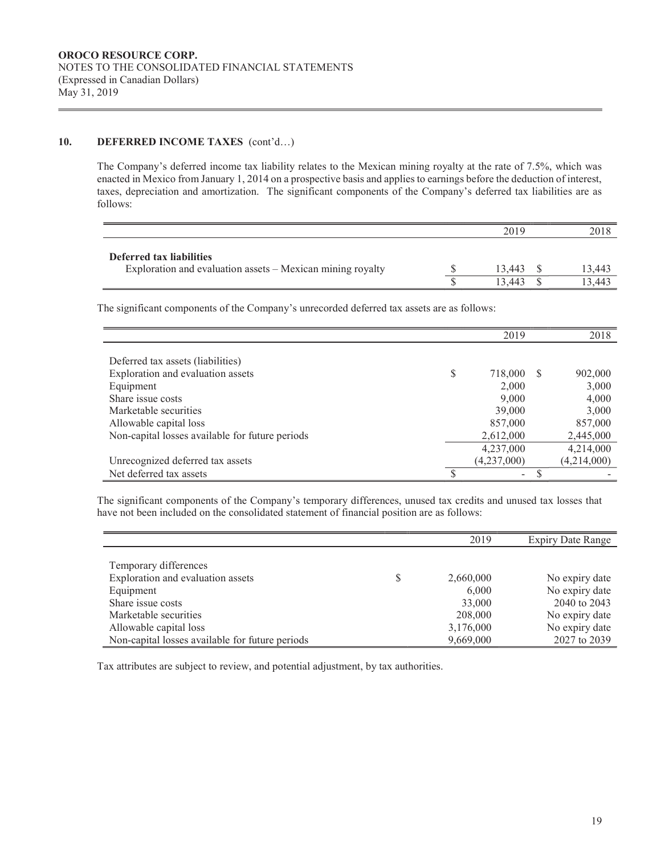# 10. DEFERRED INCOME TAXES (cont'd...)

 $\overline{a}$ 

The Company's deferred income tax liability relates to the Mexican mining royalty at the rate of 7.5%, which was enacted in Mexico from January 1, 2014 on a prospective basis and applies to earnings before the deduction of interest, taxes, depreciation and amortization. The significant components of the Company's deferred tax liabilities are as follows:

|                                                                                        | 2019   | 2018   |
|----------------------------------------------------------------------------------------|--------|--------|
| Deferred tax liabilities<br>Exploration and evaluation assets – Mexican mining royalty | 13.443 | 13,443 |
|                                                                                        | 13.443 | 13.443 |

The significant components of the Company's unrecorded deferred tax assets are as follows:

|                                                 |   | 2019                     |    | 2018        |
|-------------------------------------------------|---|--------------------------|----|-------------|
|                                                 |   |                          |    |             |
| Deferred tax assets (liabilities)               |   |                          |    |             |
| Exploration and evaluation assets               | S | 718,000                  | -S | 902,000     |
| Equipment                                       |   | 2,000                    |    | 3,000       |
| Share issue costs                               |   | 9,000                    |    | 4,000       |
| Marketable securities                           |   | 39,000                   |    | 3,000       |
| Allowable capital loss                          |   | 857,000                  |    | 857,000     |
| Non-capital losses available for future periods |   | 2,612,000                |    | 2,445,000   |
|                                                 |   | 4,237,000                |    | 4,214,000   |
| Unrecognized deferred tax assets                |   | (4,237,000)              |    | (4,214,000) |
| Net deferred tax assets                         |   | $\overline{\phantom{a}}$ |    |             |

The significant components of the Company's temporary differences, unused tax credits and unused tax losses that have not been included on the consolidated statement of financial position are as follows:

|                                                 | 2019      | <b>Expiry Date Range</b> |
|-------------------------------------------------|-----------|--------------------------|
|                                                 |           |                          |
| Temporary differences                           |           |                          |
| Exploration and evaluation assets               | 2,660,000 | No expiry date           |
| Equipment                                       | 6,000     | No expiry date           |
| Share issue costs                               | 33,000    | 2040 to 2043             |
| Marketable securities                           | 208,000   | No expiry date           |
| Allowable capital loss                          | 3,176,000 | No expiry date           |
| Non-capital losses available for future periods | 9,669,000 | 2027 to 2039             |

Tax attributes are subject to review, and potential adjustment, by tax authorities.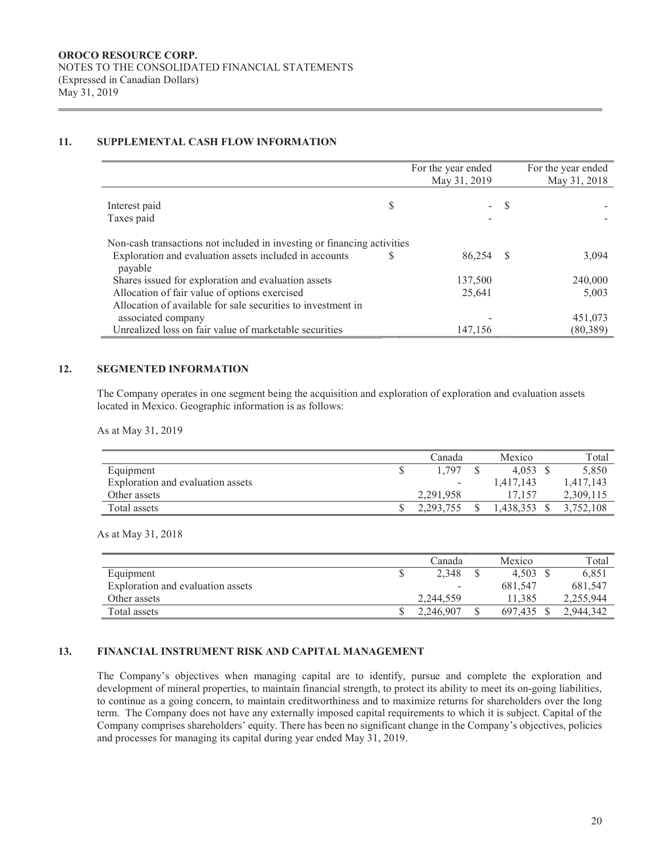# 11. SUPPLEMENTAL CASH FLOW INFORMATION

|                                                                         | For the year ended |   | For the year ended |
|-------------------------------------------------------------------------|--------------------|---|--------------------|
|                                                                         | May 31, 2019       |   | May 31, 2018       |
| Interest paid<br>Taxes paid                                             | \$                 | S |                    |
| Non-cash transactions not included in investing or financing activities |                    |   |                    |
| Exploration and evaluation assets included in accounts<br>payable       | 86,254             | S | 3,094              |
| Shares issued for exploration and evaluation assets                     | 137,500            |   | 240,000            |
| Allocation of fair value of options exercised                           | 25,641             |   | 5,003              |
| Allocation of available for sale securities to investment in            |                    |   |                    |
| associated company                                                      |                    |   | 451,073            |
| Unrealized loss on fair value of marketable securities                  | 147,156            |   | (80,389)           |

# 12. SEGMENTED INFORMATION

The Company operates in one segment being the acquisition and exploration of exploration and evaluation assets located in Mexico. Geographic information is as follows:

As at May 31, 2019

 $\overline{a}$ 

|                                   | Canada    | Mexico     | Total     |
|-----------------------------------|-----------|------------|-----------|
| Equipment                         | .797      | $4.053$ \$ | 5,850     |
| Exploration and evaluation assets | -         | 1.417.143  | 1.417.143 |
| Other assets                      | 2.291.958 | 17.157     | 2,309,115 |
| Total assets                      | 2,293,755 | 438,353    | 3,752,108 |

As at May 31, 2018

|                                   | Canada    | Mexico              | Total     |
|-----------------------------------|-----------|---------------------|-----------|
| Equipment                         | 2.348     | $4.503 \text{ }$ \$ | 6.851     |
| Exploration and evaluation assets | -         | 681.547             | 681,547   |
| Other assets                      | 2.244.559 | 11.385              | 2,255,944 |
| Total assets                      | 2.246,907 | 697.435             | 2.944,342 |

# 13. FINANCIAL INSTRUMENT RISK AND CAPITAL MANAGEMENT

The Company's objectives when managing capital are to identify, pursue and complete the exploration and development of mineral properties, to maintain financial strength, to protect its ability to meet its on-going liabilities, to continue as a going concern, to maintain creditworthiness and to maximize returns for shareholders over the long term. The Company does not have any externally imposed capital requirements to which it is subject. Capital of the Company comprises shareholders' equity. There has been no significant change in the Company's objectives, policies and processes for managing its capital during year ended May 31, 2019.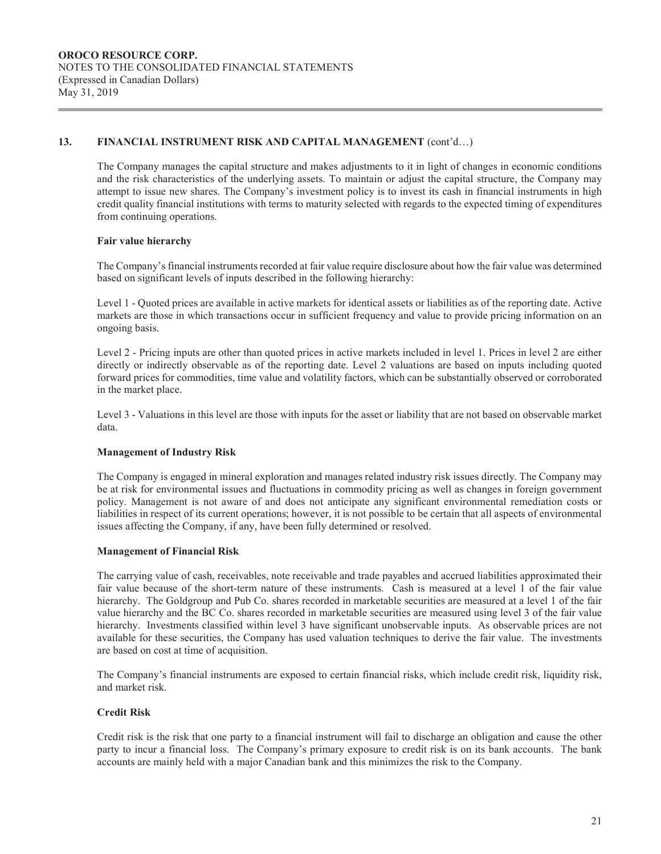# 13. FINANCIAL INSTRUMENT RISK AND CAPITAL MANAGEMENT (cont'd…)

The Company manages the capital structure and makes adjustments to it in light of changes in economic conditions and the risk characteristics of the underlying assets. To maintain or adjust the capital structure, the Company may attempt to issue new shares. The Company's investment policy is to invest its cash in financial instruments in high credit quality financial institutions with terms to maturity selected with regards to the expected timing of expenditures from continuing operations.

# Fair value hierarchy

 $\overline{a}$ 

The Company's financial instruments recorded at fair value require disclosure about how the fair value was determined based on significant levels of inputs described in the following hierarchy:

Level 1 - Quoted prices are available in active markets for identical assets or liabilities as of the reporting date. Active markets are those in which transactions occur in sufficient frequency and value to provide pricing information on an ongoing basis.

Level 2 - Pricing inputs are other than quoted prices in active markets included in level 1. Prices in level 2 are either directly or indirectly observable as of the reporting date. Level 2 valuations are based on inputs including quoted forward prices for commodities, time value and volatility factors, which can be substantially observed or corroborated in the market place.

Level 3 - Valuations in this level are those with inputs for the asset or liability that are not based on observable market data.

# Management of Industry Risk

The Company is engaged in mineral exploration and manages related industry risk issues directly. The Company may be at risk for environmental issues and fluctuations in commodity pricing as well as changes in foreign government policy. Management is not aware of and does not anticipate any significant environmental remediation costs or liabilities in respect of its current operations; however, it is not possible to be certain that all aspects of environmental issues affecting the Company, if any, have been fully determined or resolved.

# Management of Financial Risk

The carrying value of cash, receivables, note receivable and trade payables and accrued liabilities approximated their fair value because of the short-term nature of these instruments. Cash is measured at a level 1 of the fair value hierarchy. The Goldgroup and Pub Co. shares recorded in marketable securities are measured at a level 1 of the fair value hierarchy and the BC Co. shares recorded in marketable securities are measured using level 3 of the fair value hierarchy. Investments classified within level 3 have significant unobservable inputs. As observable prices are not available for these securities, the Company has used valuation techniques to derive the fair value. The investments are based on cost at time of acquisition.

The Company's financial instruments are exposed to certain financial risks, which include credit risk, liquidity risk, and market risk.

# Credit Risk

Credit risk is the risk that one party to a financial instrument will fail to discharge an obligation and cause the other party to incur a financial loss. The Company's primary exposure to credit risk is on its bank accounts. The bank accounts are mainly held with a major Canadian bank and this minimizes the risk to the Company.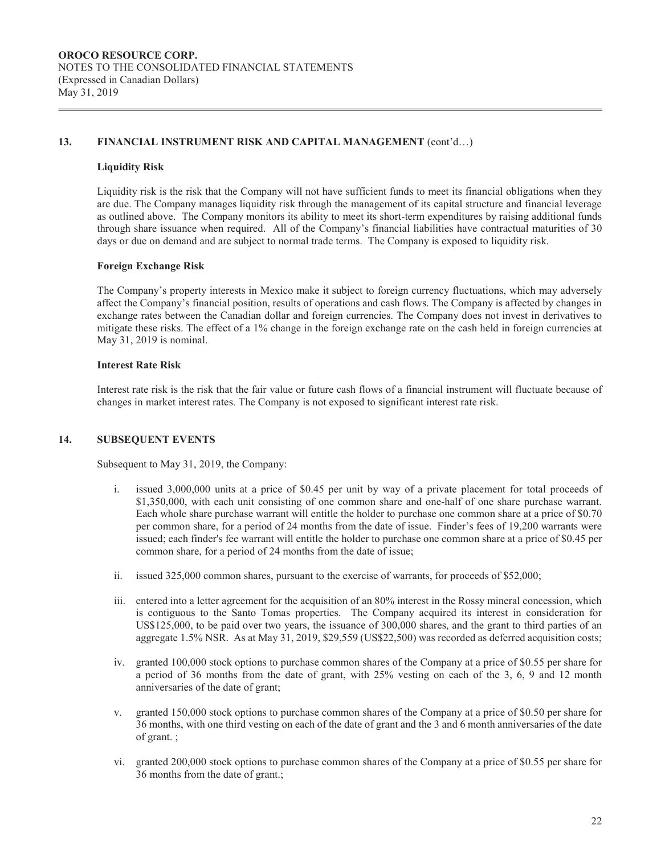# 13. FINANCIAL INSTRUMENT RISK AND CAPITAL MANAGEMENT (cont'd…)

### Liquidity Risk

 $\overline{a}$ 

Liquidity risk is the risk that the Company will not have sufficient funds to meet its financial obligations when they are due. The Company manages liquidity risk through the management of its capital structure and financial leverage as outlined above. The Company monitors its ability to meet its short-term expenditures by raising additional funds through share issuance when required. All of the Company's financial liabilities have contractual maturities of 30 days or due on demand and are subject to normal trade terms. The Company is exposed to liquidity risk.

### Foreign Exchange Risk

The Company's property interests in Mexico make it subject to foreign currency fluctuations, which may adversely affect the Company's financial position, results of operations and cash flows. The Company is affected by changes in exchange rates between the Canadian dollar and foreign currencies. The Company does not invest in derivatives to mitigate these risks. The effect of a 1% change in the foreign exchange rate on the cash held in foreign currencies at May 31, 2019 is nominal.

### Interest Rate Risk

Interest rate risk is the risk that the fair value or future cash flows of a financial instrument will fluctuate because of changes in market interest rates. The Company is not exposed to significant interest rate risk.

# 14. SUBSEQUENT EVENTS

Subsequent to May 31, 2019, the Company:

- i. issued 3,000,000 units at a price of \$0.45 per unit by way of a private placement for total proceeds of \$1,350,000, with each unit consisting of one common share and one-half of one share purchase warrant. Each whole share purchase warrant will entitle the holder to purchase one common share at a price of \$0.70 per common share, for a period of 24 months from the date of issue. Finder's fees of 19,200 warrants were issued; each finder's fee warrant will entitle the holder to purchase one common share at a price of \$0.45 per common share, for a period of 24 months from the date of issue;
- ii. issued 325,000 common shares, pursuant to the exercise of warrants, for proceeds of \$52,000;
- iii. entered into a letter agreement for the acquisition of an 80% interest in the Rossy mineral concession, which is contiguous to the Santo Tomas properties. The Company acquired its interest in consideration for US\$125,000, to be paid over two years, the issuance of 300,000 shares, and the grant to third parties of an aggregate 1.5% NSR. As at May 31, 2019, \$29,559 (US\$22,500) was recorded as deferred acquisition costs;
- iv. granted 100,000 stock options to purchase common shares of the Company at a price of \$0.55 per share for a period of 36 months from the date of grant, with 25% vesting on each of the 3, 6, 9 and 12 month anniversaries of the date of grant;
- v. granted 150,000 stock options to purchase common shares of the Company at a price of \$0.50 per share for 36 months, with one third vesting on each of the date of grant and the 3 and 6 month anniversaries of the date of grant. ;
- vi. granted 200,000 stock options to purchase common shares of the Company at a price of \$0.55 per share for 36 months from the date of grant.;